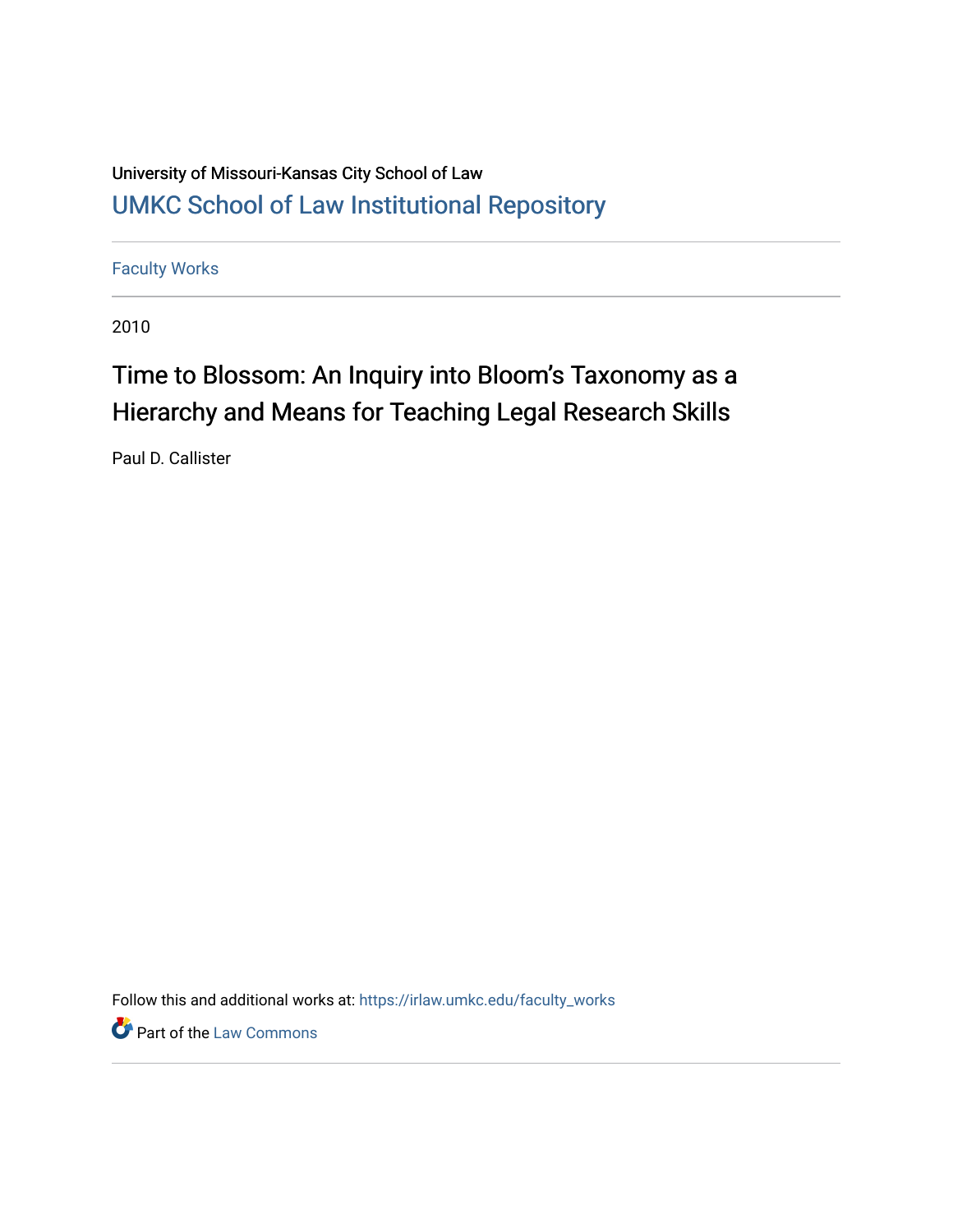# University of Missouri-Kansas City School of Law [UMKC School of Law Institutional Repository](https://irlaw.umkc.edu/)

[Faculty Works](https://irlaw.umkc.edu/faculty_works) 

2010

# Time to Blossom: An Inquiry into Bloom's Taxonomy as a Hierarchy and Means for Teaching Legal Research Skills

Paul D. Callister

Follow this and additional works at: [https://irlaw.umkc.edu/faculty\\_works](https://irlaw.umkc.edu/faculty_works?utm_source=irlaw.umkc.edu%2Ffaculty_works%2F23&utm_medium=PDF&utm_campaign=PDFCoverPages) 

**Part of the [Law Commons](http://network.bepress.com/hgg/discipline/578?utm_source=irlaw.umkc.edu%2Ffaculty_works%2F23&utm_medium=PDF&utm_campaign=PDFCoverPages)**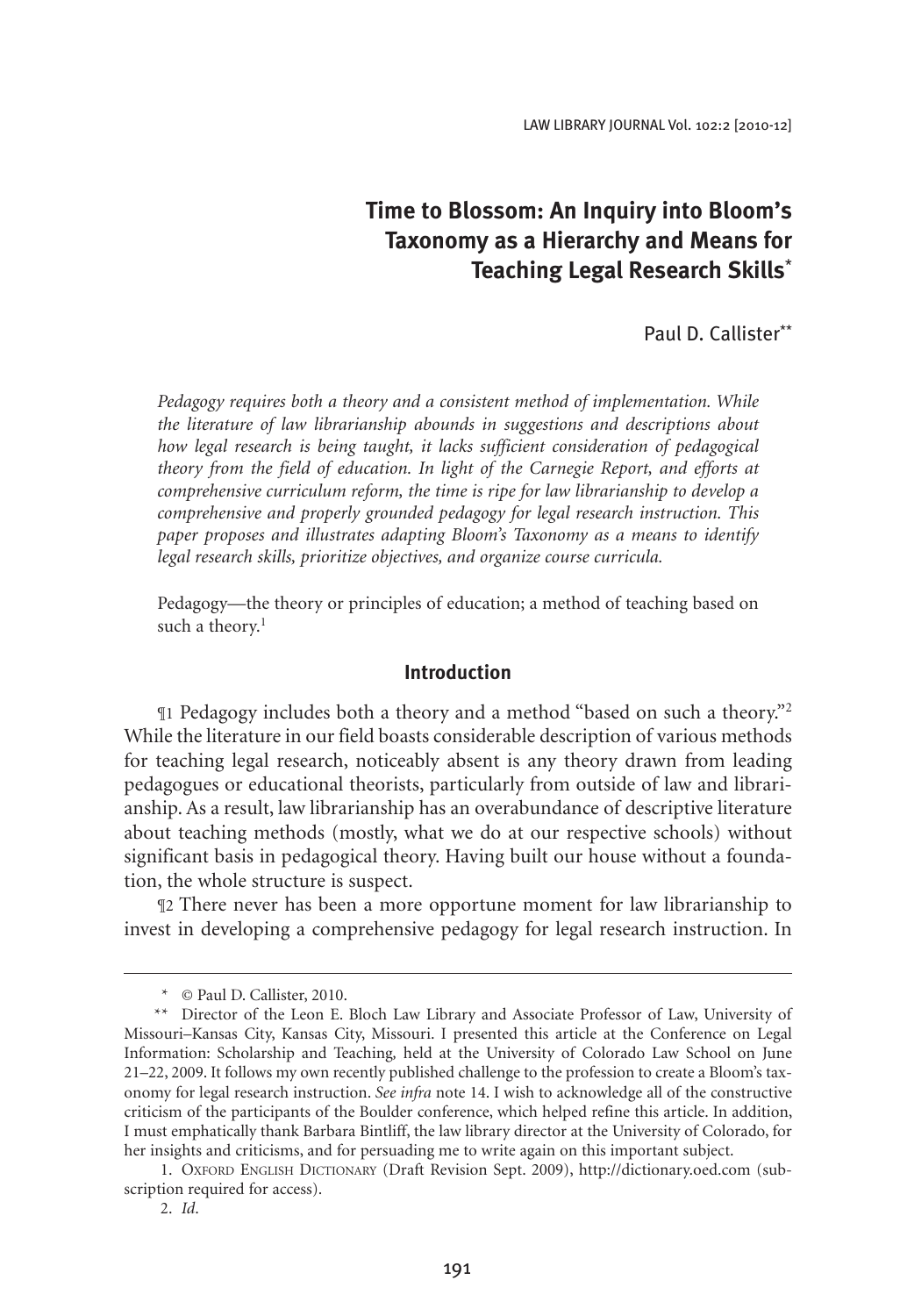# **Time to Blossom: An Inquiry into Bloom's Taxonomy as a Hierarchy and Means for Teaching Legal Research Skills**\*

Paul D. Callister\*\*

*Pedagogy requires both a theory and a consistent method of implementation. While the literature of law librarianship abounds in suggestions and descriptions about how legal research is being taught, it lacks sufficient consideration of pedagogical theory from the field of education. In light of the Carnegie Report, and efforts at comprehensive curriculum reform, the time is ripe for law librarianship to develop a comprehensive and properly grounded pedagogy for legal research instruction. This paper proposes and illustrates adapting Bloom's Taxonomy as a means to identify legal research skills, prioritize objectives, and organize course curricula.*

Pedagogy—the theory or principles of education; a method of teaching based on such a theory.<sup>1</sup>

#### **Introduction**

¶1 Pedagogy includes both a theory and a method "based on such a theory."2 While the literature in our field boasts considerable description of various methods for teaching legal research, noticeably absent is any theory drawn from leading pedagogues or educational theorists, particularly from outside of law and librarianship. As a result, law librarianship has an overabundance of descriptive literature about teaching methods (mostly, what we do at our respective schools) without significant basis in pedagogical theory. Having built our house without a foundation, the whole structure is suspect.

¶2 There never has been a more opportune moment for law librarianship to invest in developing a comprehensive pedagogy for legal research instruction. In

<sup>\*</sup> © Paul D. Callister, 2010.

<sup>\*\*</sup> Director of the Leon E. Bloch Law Library and Associate Professor of Law, University of Missouri–Kansas City, Kansas City, Missouri. I presented this article at the Conference on Legal Information: Scholarship and Teaching*,* held at the University of Colorado Law School on June 21–22, 2009. It follows my own recently published challenge to the profession to create a Bloom's taxonomy for legal research instruction. *See infra* note 14. I wish to acknowledge all of the constructive criticism of the participants of the Boulder conference, which helped refine this article. In addition, I must emphatically thank Barbara Bintliff, the law library director at the University of Colorado, for her insights and criticisms, and for persuading me to write again on this important subject.

<sup>1.</sup> Oxford English Dictionary (Draft Revision Sept. 2009), http://dictionary.oed.com (subscription required for access).

<sup>2.</sup> *Id*.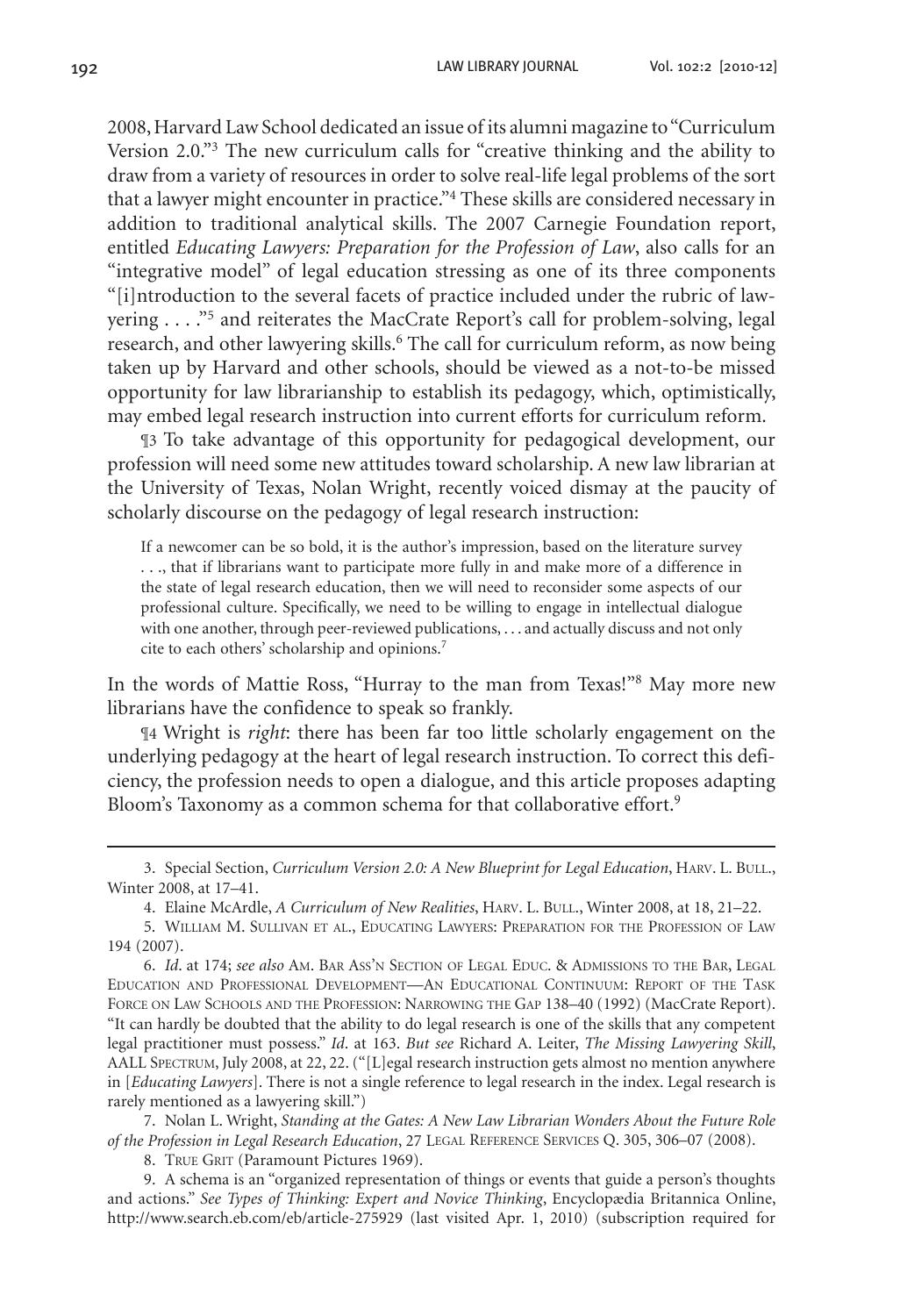2008, Harvard Law School dedicated an issue of its alumni magazine to "Curriculum Version 2.0."3 The new curriculum calls for "creative thinking and the ability to draw from a variety of resources in order to solve real-life legal problems of the sort that a lawyer might encounter in practice."<sup>4</sup> These skills are considered necessary in addition to traditional analytical skills. The 2007 Carnegie Foundation report, entitled *Educating Lawyers: Preparation for the Profession of Law*, also calls for an "integrative model" of legal education stressing as one of its three components "[i]ntroduction to the several facets of practice included under the rubric of lawyering . . . ."<sup>5</sup> and reiterates the MacCrate Report's call for problem-solving, legal research, and other lawyering skills.<sup>6</sup> The call for curriculum reform, as now being taken up by Harvard and other schools, should be viewed as a not-to-be missed opportunity for law librarianship to establish its pedagogy, which, optimistically, may embed legal research instruction into current efforts for curriculum reform.

¶3 To take advantage of this opportunity for pedagogical development, our profession will need some new attitudes toward scholarship. A new law librarian at the University of Texas, Nolan Wright, recently voiced dismay at the paucity of scholarly discourse on the pedagogy of legal research instruction:

If a newcomer can be so bold, it is the author's impression, based on the literature survey . . ., that if librarians want to participate more fully in and make more of a difference in the state of legal research education, then we will need to reconsider some aspects of our professional culture. Specifically, we need to be willing to engage in intellectual dialogue with one another, through peer-reviewed publications, . . . and actually discuss and not only cite to each others' scholarship and opinions.7

In the words of Mattie Ross, "Hurray to the man from Texas!"8 May more new librarians have the confidence to speak so frankly.

¶4 Wright is *right*: there has been far too little scholarly engagement on the underlying pedagogy at the heart of legal research instruction. To correct this deficiency, the profession needs to open a dialogue, and this article proposes adapting Bloom's Taxonomy as a common schema for that collaborative effort.<sup>9</sup>

3. Special Section, *Curriculum Version 2.0: A New Blueprint for Legal Education*, Harv. L. Bull., Winter 2008, at 17–41.

7. Nolan L. Wright, *Standing at the Gates: A New Law Librarian Wonders About the Future Role of the Profession in Legal Research Education*, 27 Legal Reference Services Q. 305, 306–07 (2008).

8. TRUE GRIT (Paramount Pictures 1969).

9. A schema is an "organized representation of things or events that guide a person's thoughts and actions." *See Types of Thinking: Expert and Novice Thinking*, Encyclopædia Britannica Online, http://www.search.eb.com/eb/article-275929 (last visited Apr. 1, 2010) (subscription required for

<sup>4.</sup> Elaine McArdle, *A Curriculum of New Realities*, Harv. L. Bull., Winter 2008, at 18, 21–22.

<sup>5.</sup> William M. Sullivan et al., Educating Lawyers: Preparation for the Profession of Law 194 (2007).

<sup>6.</sup> *Id*. at 174; *see also* Am. Bar Ass'n Section of Legal Educ. & Admissions to the Bar, Legal Education and Professional Development—An Educational Continuum: Report of the Task Force on Law Schools and the Profession: Narrowing the Gap 138–40 (1992) (MacCrate Report). "It can hardly be doubted that the ability to do legal research is one of the skills that any competent legal practitioner must possess." *Id*. at 163. *But see* Richard A. Leiter, *The Missing Lawyering Skill*, AALL Spectrum, July 2008, at 22, 22. ("[L]egal research instruction gets almost no mention anywhere in [*Educating Lawyers*]. There is not a single reference to legal research in the index. Legal research is rarely mentioned as a lawyering skill.")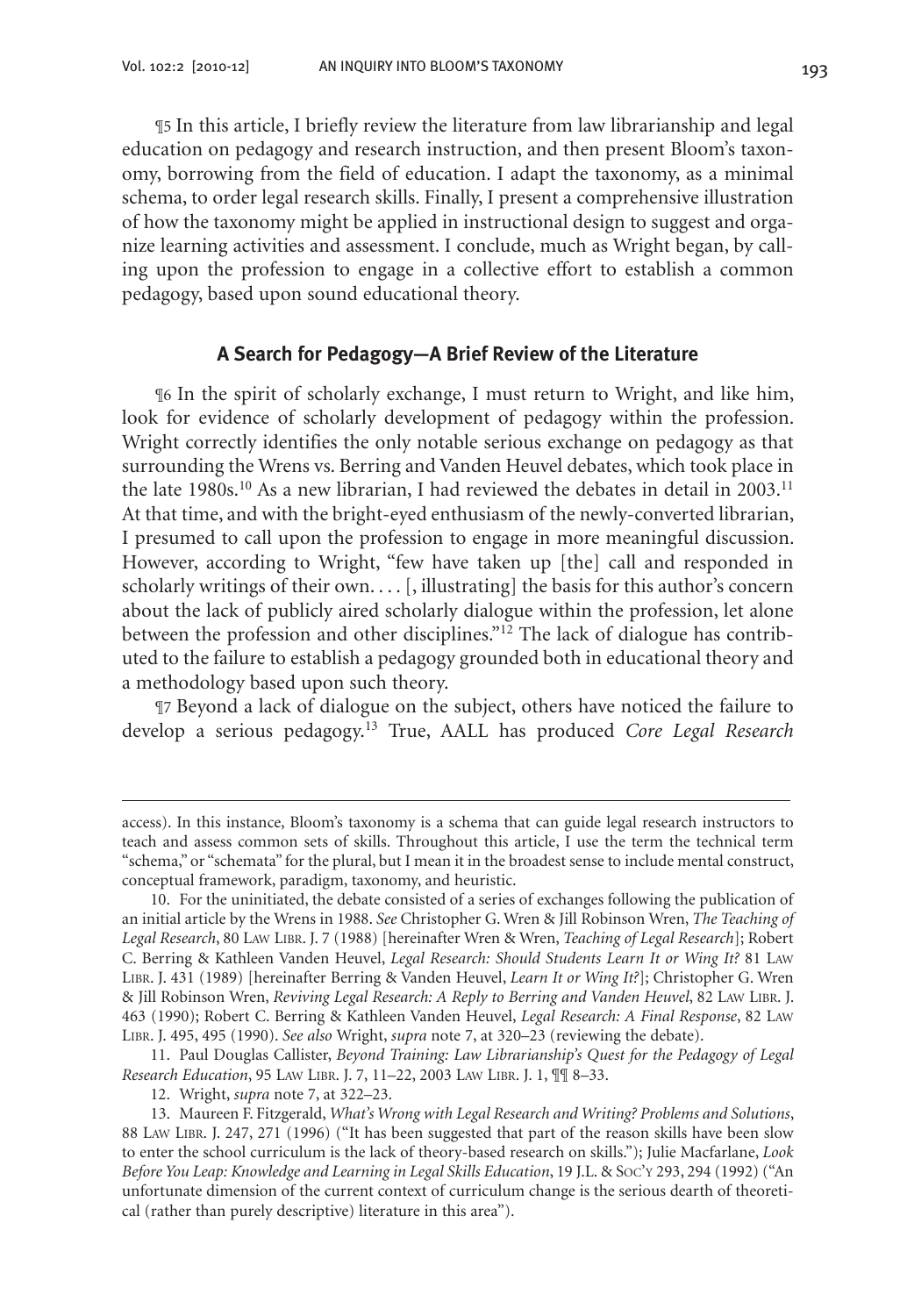¶5 In this article, I briefly review the literature from law librarianship and legal education on pedagogy and research instruction, and then present Bloom's taxonomy, borrowing from the field of education. I adapt the taxonomy, as a minimal schema, to order legal research skills. Finally, I present a comprehensive illustration of how the taxonomy might be applied in instructional design to suggest and organize learning activities and assessment. I conclude, much as Wright began, by calling upon the profession to engage in a collective effort to establish a common pedagogy, based upon sound educational theory.

#### **A Search for Pedagogy—A Brief Review of the Literature**

¶6 In the spirit of scholarly exchange, I must return to Wright, and like him, look for evidence of scholarly development of pedagogy within the profession. Wright correctly identifies the only notable serious exchange on pedagogy as that surrounding the Wrens vs. Berring and Vanden Heuvel debates, which took place in the late 1980s.<sup>10</sup> As a new librarian, I had reviewed the debates in detail in 2003.<sup>11</sup> At that time, and with the bright-eyed enthusiasm of the newly-converted librarian, I presumed to call upon the profession to engage in more meaningful discussion. However, according to Wright, "few have taken up [the] call and responded in scholarly writings of their own.... [, illustrating] the basis for this author's concern about the lack of publicly aired scholarly dialogue within the profession, let alone between the profession and other disciplines."12 The lack of dialogue has contributed to the failure to establish a pedagogy grounded both in educational theory and a methodology based upon such theory.

¶7 Beyond a lack of dialogue on the subject, others have noticed the failure to develop a serious pedagogy.13 True, AALL has produced *Core Legal Research* 

11. Paul Douglas Callister, *Beyond Training: Law Librarianship's Quest for the Pedagogy of Legal Research Education*, 95 Law Libr. J. 7, 11–22, 2003 Law Libr. J. 1, ¶¶ 8–33.

12. Wright, *supra* note 7, at 322–23.

access). In this instance, Bloom's taxonomy is a schema that can guide legal research instructors to teach and assess common sets of skills. Throughout this article, I use the term the technical term "schema," or "schemata" for the plural, but I mean it in the broadest sense to include mental construct, conceptual framework, paradigm, taxonomy, and heuristic.

<sup>10.</sup> For the uninitiated, the debate consisted of a series of exchanges following the publication of an initial article by the Wrens in 1988. *See* Christopher G. Wren & Jill Robinson Wren, *The Teaching of Legal Research*, 80 Law Libr. J. 7 (1988) [hereinafter Wren & Wren, *Teaching of Legal Research*]; Robert C. Berring & Kathleen Vanden Heuvel, *Legal Research: Should Students Learn It or Wing It?* 81 Law Libr. J. 431 (1989) [hereinafter Berring & Vanden Heuvel, *Learn It or Wing It?*]; Christopher G. Wren & Jill Robinson Wren, *Reviving Legal Research: A Reply to Berring and Vanden Heuvel*, 82 Law Libr. J. 463 (1990); Robert C. Berring & Kathleen Vanden Heuvel, *Legal Research: A Final Response*, 82 Law Libr. J. 495, 495 (1990). *See also* Wright, *supra* note 7, at 320–23 (reviewing the debate).

<sup>13.</sup> Maureen F. Fitzgerald, *What's Wrong with Legal Research and Writing? Problems and Solutions*, 88 Law Libr. J. 247, 271 (1996) ("It has been suggested that part of the reason skills have been slow to enter the school curriculum is the lack of theory-based research on skills."); Julie Macfarlane, *Look Before You Leap: Knowledge and Learning in Legal Skills Education*, 19 J.L. & Soc'y 293, 294 (1992) ("An unfortunate dimension of the current context of curriculum change is the serious dearth of theoretical (rather than purely descriptive) literature in this area").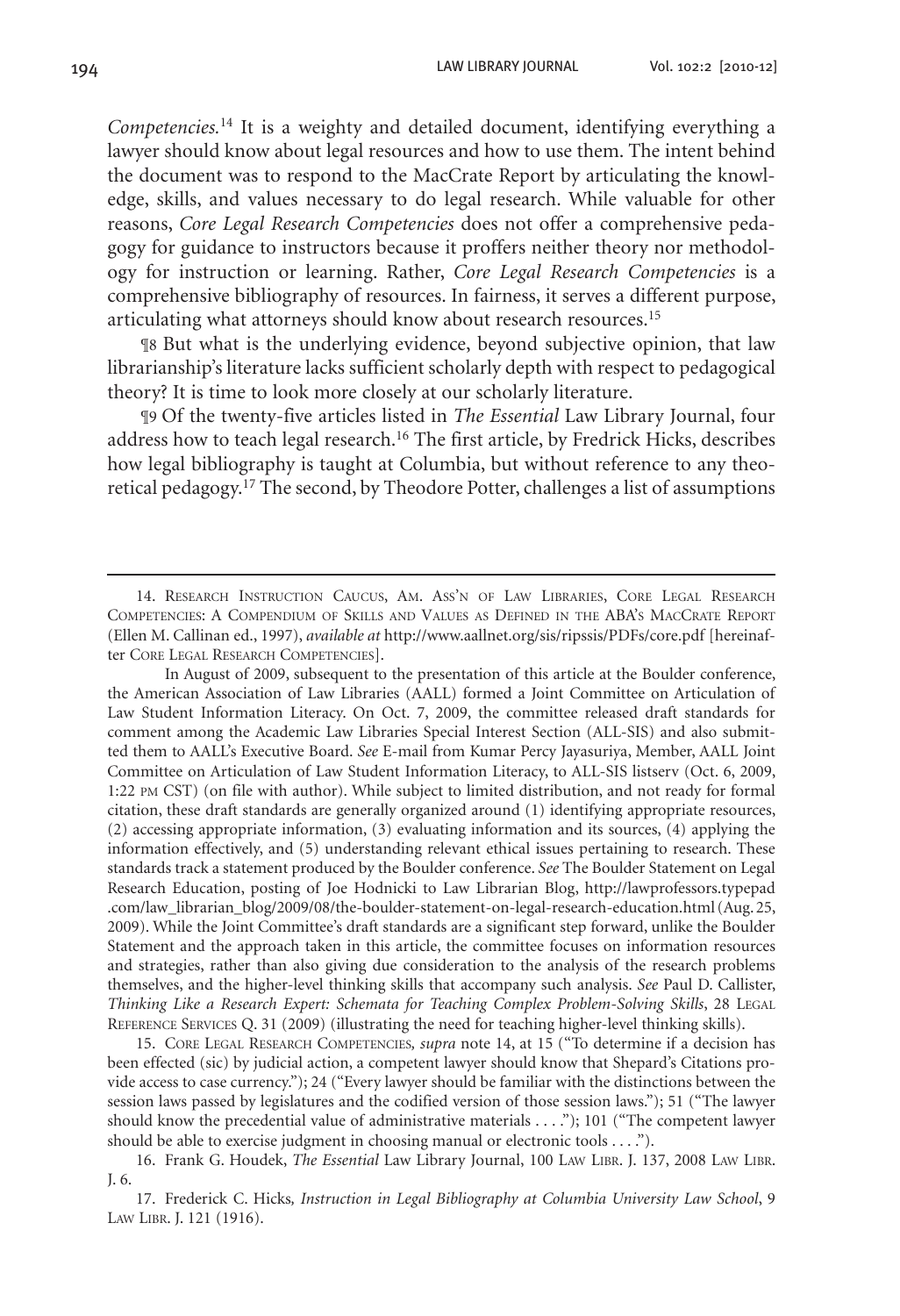*Competencies.*14 It is a weighty and detailed document, identifying everything a lawyer should know about legal resources and how to use them. The intent behind the document was to respond to the MacCrate Report by articulating the knowledge, skills, and values necessary to do legal research. While valuable for other reasons, *Core Legal Research Competencies* does not offer a comprehensive pedagogy for guidance to instructors because it proffers neither theory nor methodology for instruction or learning. Rather, *Core Legal Research Competencies* is a comprehensive bibliography of resources. In fairness, it serves a different purpose, articulating what attorneys should know about research resources.<sup>15</sup>

¶8 But what is the underlying evidence, beyond subjective opinion, that law librarianship's literature lacks sufficient scholarly depth with respect to pedagogical theory? It is time to look more closely at our scholarly literature.

¶9 Of the twenty-five articles listed in *The Essential* Law Library Journal, four address how to teach legal research.16 The first article, by Fredrick Hicks, describes how legal bibliography is taught at Columbia, but without reference to any theoretical pedagogy.17 The second, by Theodore Potter, challenges a list of assumptions

In August of 2009, subsequent to the presentation of this article at the Boulder conference, the American Association of Law Libraries (AALL) formed a Joint Committee on Articulation of Law Student Information Literacy. On Oct. 7, 2009, the committee released draft standards for comment among the Academic Law Libraries Special Interest Section (ALL-SIS) and also submitted them to AALL's Executive Board. *See* E-mail from Kumar Percy Jayasuriya, Member, AALL Joint Committee on Articulation of Law Student Information Literacy, to ALL-SIS listserv (Oct. 6, 2009, 1:22 pm CST) (on file with author). While subject to limited distribution, and not ready for formal citation, these draft standards are generally organized around (1) identifying appropriate resources, (2) accessing appropriate information, (3) evaluating information and its sources, (4) applying the information effectively, and (5) understanding relevant ethical issues pertaining to research. These standards track a statement produced by the Boulder conference. *See* The Boulder Statement on Legal Research Education, posting of Joe Hodnicki to Law Librarian Blog, http://lawprofessors.typepad .com/law\_librarian\_blog/2009/08/the-boulder-statement-on-legal-research-education.html (Aug. 25, 2009). While the Joint Committee's draft standards are a significant step forward, unlike the Boulder Statement and the approach taken in this article, the committee focuses on information resources and strategies, rather than also giving due consideration to the analysis of the research problems themselves, and the higher-level thinking skills that accompany such analysis. *See* Paul D. Callister, *Thinking Like a Research Expert: Schemata for Teaching Complex Problem-Solving Skills*, 28 Legal Reference Services Q. 31 (2009) (illustrating the need for teaching higher-level thinking skills).

15. Core Legal Research Competencies*, supra* note 14, at 15 ("To determine if a decision has been effected (sic) by judicial action, a competent lawyer should know that Shepard's Citations provide access to case currency."); 24 ("Every lawyer should be familiar with the distinctions between the session laws passed by legislatures and the codified version of those session laws."); 51 ("The lawyer should know the precedential value of administrative materials . . . ."); 101 ("The competent lawyer should be able to exercise judgment in choosing manual or electronic tools . . . .").

<sup>14.</sup> Research Instruction Caucus, Am. Ass'n of Law Libraries, Core Legal Research Competencies: A Compendium of Skills and Values as Defined in the ABA's MacCrate Report (Ellen M. Callinan ed., 1997), *available at* http://www.aallnet.org/sis/ripssis/PDFs/core.pdf [hereinafter Core Legal Research Competencies].

<sup>16.</sup> Frank G. Houdek, *The Essential* Law Library Journal, 100 Law Libr. J. 137, 2008 Law Libr. J. 6.

<sup>17.</sup> Frederick C. Hicks*, Instruction in Legal Bibliography at Columbia University Law School*, 9 Law Libr. J. 121 (1916).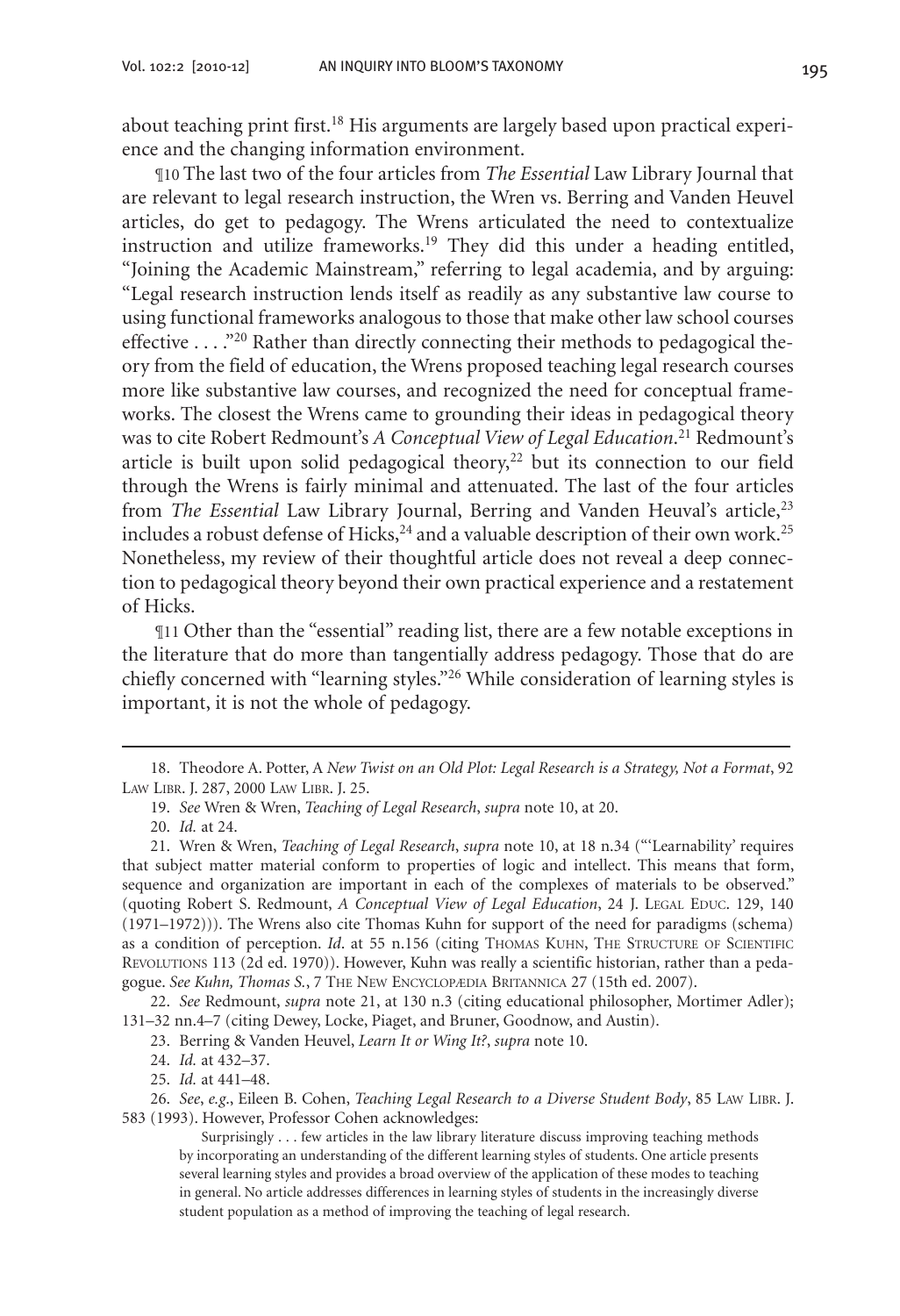about teaching print first.<sup>18</sup> His arguments are largely based upon practical experience and the changing information environment.

¶10 The last two of the four articles from *The Essential* Law Library Journal that are relevant to legal research instruction, the Wren vs. Berring and Vanden Heuvel articles, do get to pedagogy. The Wrens articulated the need to contextualize instruction and utilize frameworks.<sup>19</sup> They did this under a heading entitled, "Joining the Academic Mainstream," referring to legal academia, and by arguing: "Legal research instruction lends itself as readily as any substantive law course to using functional frameworks analogous to those that make other law school courses effective  $\dots$ <sup>20</sup> Rather than directly connecting their methods to pedagogical theory from the field of education, the Wrens proposed teaching legal research courses more like substantive law courses, and recognized the need for conceptual frameworks. The closest the Wrens came to grounding their ideas in pedagogical theory was to cite Robert Redmount's *A Conceptual View of Legal Education*. 21 Redmount's article is built upon solid pedagogical theory, $^{22}$  but its connection to our field through the Wrens is fairly minimal and attenuated. The last of the four articles from *The Essential Law Library Journal*, Berring and Vanden Heuval's article,<sup>23</sup> includes a robust defense of Hicks, $24$  and a valuable description of their own work.<sup>25</sup> Nonetheless, my review of their thoughtful article does not reveal a deep connection to pedagogical theory beyond their own practical experience and a restatement of Hicks.

¶11 Other than the "essential" reading list, there are a few notable exceptions in the literature that do more than tangentially address pedagogy. Those that do are chiefly concerned with "learning styles."26 While consideration of learning styles is important, it is not the whole of pedagogy.

22. *See* Redmount, *supra* note 21, at 130 n.3 (citing educational philosopher, Mortimer Adler); 131–32 nn.4–7 (citing Dewey, Locke, Piaget, and Bruner, Goodnow, and Austin).

24. *Id.* at 432–37.

25. *Id.* at 441–48.

26. *See*, *e.g*., Eileen B. Cohen, *Teaching Legal Research to a Diverse Student Body*, 85 Law Libr. J. 583 (1993). However, Professor Cohen acknowledges:

<sup>18.</sup> Theodore A. Potter, A *New Twist on an Old Plot: Legal Research is a Strategy, Not a Format*, 92 Law Libr. J. 287, 2000 Law Libr. J. 25.

<sup>19.</sup> *See* Wren & Wren, *Teaching of Legal Research*, *supra* note 10, at 20.

<sup>20.</sup> *Id.* at 24.

<sup>21.</sup> Wren & Wren, *Teaching of Legal Research*, *supra* note 10, at 18 n.34 ("'Learnability' requires that subject matter material conform to properties of logic and intellect. This means that form, sequence and organization are important in each of the complexes of materials to be observed." (quoting Robert S. Redmount, *A Conceptual View of Legal Education*, 24 J. Legal Educ. 129, 140 (1971–1972))). The Wrens also cite Thomas Kuhn for support of the need for paradigms (schema) as a condition of perception. *Id.* at 55 n.156 (citing THOMAS KUHN, THE STRUCTURE OF SCIENTIFIC Revolutions 113 (2d ed. 1970)). However, Kuhn was really a scientific historian, rather than a pedagogue. *See Kuhn, Thomas S.*, 7 The New Encyclopædia Britannica 27 (15th ed. 2007).

<sup>23.</sup> Berring & Vanden Heuvel, *Learn It or Wing It?*, *supra* note 10.

Surprisingly . . . few articles in the law library literature discuss improving teaching methods by incorporating an understanding of the different learning styles of students. One article presents several learning styles and provides a broad overview of the application of these modes to teaching in general. No article addresses differences in learning styles of students in the increasingly diverse student population as a method of improving the teaching of legal research.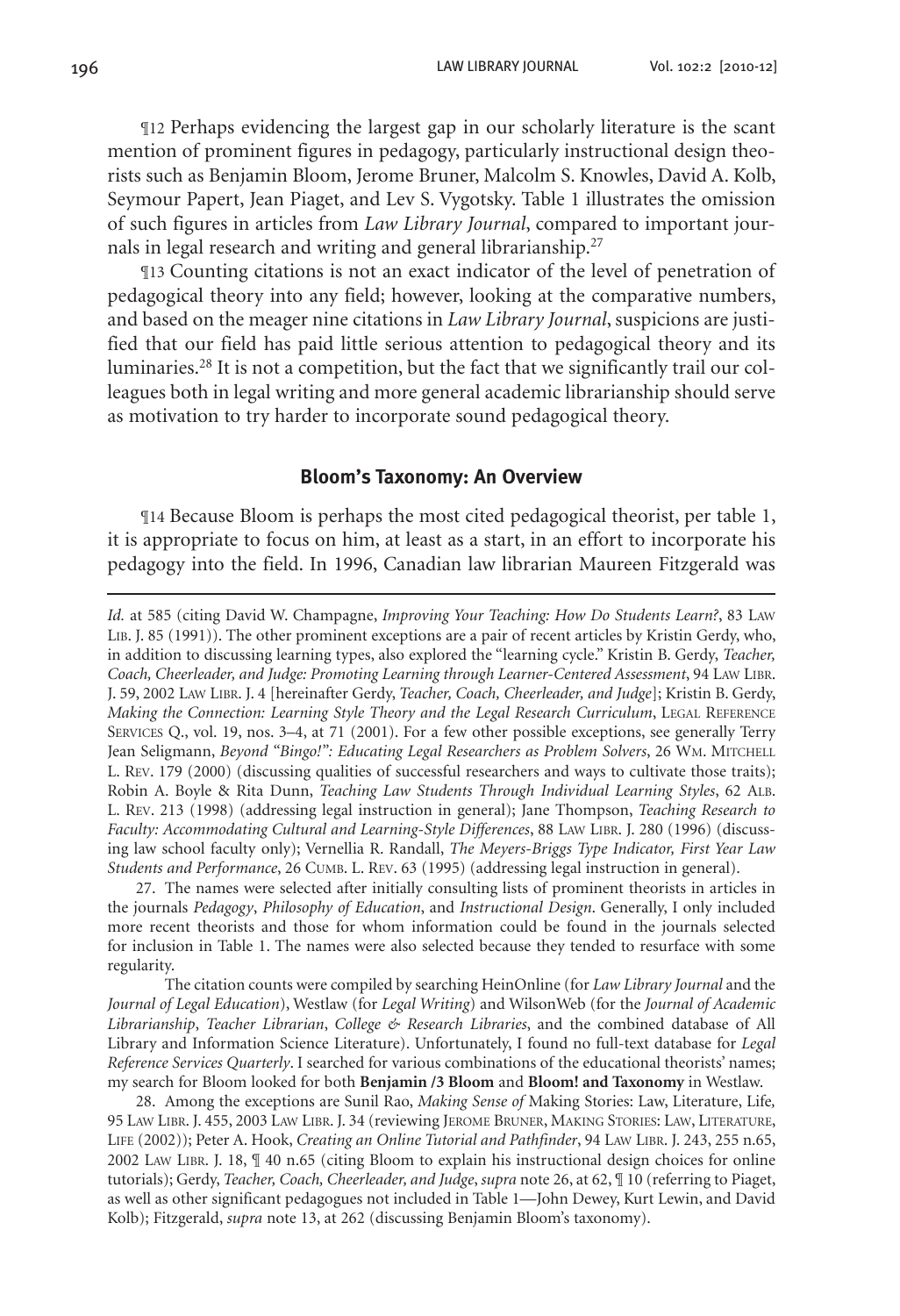¶12 Perhaps evidencing the largest gap in our scholarly literature is the scant mention of prominent figures in pedagogy, particularly instructional design theorists such as Benjamin Bloom, Jerome Bruner, Malcolm S. Knowles, David A. Kolb, Seymour Papert, Jean Piaget, and Lev S. Vygotsky. Table 1 illustrates the omission of such figures in articles from *Law Library Journal*, compared to important journals in legal research and writing and general librarianship.<sup>27</sup>

¶13 Counting citations is not an exact indicator of the level of penetration of pedagogical theory into any field; however, looking at the comparative numbers, and based on the meager nine citations in *Law Library Journal*, suspicions are justified that our field has paid little serious attention to pedagogical theory and its luminaries.28 It is not a competition, but the fact that we significantly trail our colleagues both in legal writing and more general academic librarianship should serve as motivation to try harder to incorporate sound pedagogical theory.

#### **Bloom's Taxonomy: An Overview**

¶14 Because Bloom is perhaps the most cited pedagogical theorist, per table 1, it is appropriate to focus on him, at least as a start, in an effort to incorporate his pedagogy into the field. In 1996, Canadian law librarian Maureen Fitzgerald was

27. The names were selected after initially consulting lists of prominent theorists in articles in the journals *Pedagogy*, *Philosophy of Education*, and *Instructional Design*. Generally, I only included more recent theorists and those for whom information could be found in the journals selected for inclusion in Table 1. The names were also selected because they tended to resurface with some regularity.

The citation counts were compiled by searching HeinOnline (for *Law Library Journal* and the *Journal of Legal Education*), Westlaw (for *Legal Writing*) and WilsonWeb (for the *Journal of Academic Librarianship*, *Teacher Librarian*, *College & Research Libraries*, and the combined database of All Library and Information Science Literature). Unfortunately, I found no full-text database for *Legal Reference Services Quarterly*. I searched for various combinations of the educational theorists' names; my search for Bloom looked for both **Benjamin /3 Bloom** and **Bloom! and Taxonomy** in Westlaw.

28. Among the exceptions are Sunil Rao, *Making Sense of* Making Stories: Law, Literature, Life*,*  95 Law Libr. J. 455, 2003 Law Libr. J. 34 (reviewing Jerome Bruner, Making Stories: Law, Literature, LIFE (2002)); Peter A. Hook, *Creating an Online Tutorial and Pathfinder*, 94 LAW LIBR. J. 243, 255 n.65, 2002 Law Libr. J. 18, ¶ 40 n.65 (citing Bloom to explain his instructional design choices for online tutorials); Gerdy, *Teacher, Coach, Cheerleader, and Judge*, *supra* note 26, at 62, ¶ 10 (referring to Piaget, as well as other significant pedagogues not included in Table 1—John Dewey, Kurt Lewin, and David Kolb); Fitzgerald, *supra* note 13, at 262 (discussing Benjamin Bloom's taxonomy).

*Id.* at 585 (citing David W. Champagne, *Improving Your Teaching: How Do Students Learn?*, 83 Law Lib. J. 85 (1991)). The other prominent exceptions are a pair of recent articles by Kristin Gerdy, who, in addition to discussing learning types, also explored the "learning cycle." Kristin B. Gerdy, *Teacher, Coach, Cheerleader, and Judge: Promoting Learning through Learner-Centered Assessment*, 94 Law Libr. J. 59, 2002 Law Libr. J. 4 [hereinafter Gerdy, *Teacher, Coach, Cheerleader, and Judge*]; Kristin B. Gerdy, *Making the Connection: Learning Style Theory and the Legal Research Curriculum, LEGAL REFERENCE* Services Q., vol. 19, nos. 3–4, at 71 (2001). For a few other possible exceptions, see generally Terry Jean Seligmann, *Beyond "Bingo!": Educating Legal Researchers as Problem Solvers*, 26 WM. MITCHELL L. Rev. 179 (2000) (discussing qualities of successful researchers and ways to cultivate those traits); Robin A. Boyle & Rita Dunn, *Teaching Law Students Through Individual Learning Styles*, 62 Alb. L. Rev. 213 (1998) (addressing legal instruction in general); Jane Thompson, *Teaching Research to Faculty: Accommodating Cultural and Learning-Style Differences*, 88 Law Libr. J. 280 (1996) (discussing law school faculty only); Vernellia R. Randall, *The Meyers-Briggs Type Indicator, First Year Law Students and Performance*, 26 Cumb. L. Rev. 63 (1995) (addressing legal instruction in general).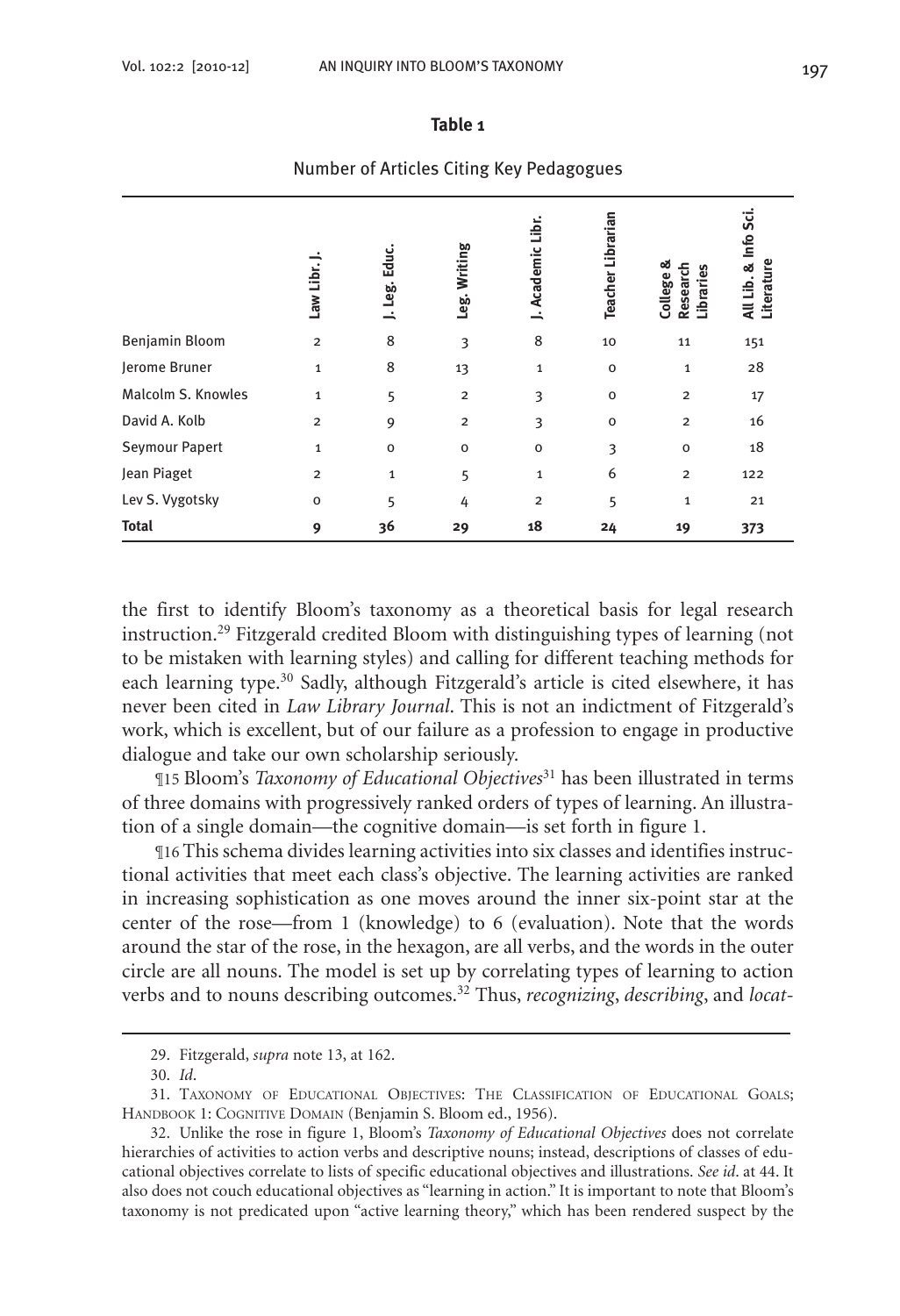#### **Table 1**

|                       | Law Libr.      | Educ.<br>Leg.<br>$\overline{\phantom{a}}$ | Leg. Writing   | J. Academic Libr.       | <b>Teacher Librarian</b> | College &<br>Research<br>Libraries | All Lib. & Info Sci.<br>Literature |
|-----------------------|----------------|-------------------------------------------|----------------|-------------------------|--------------------------|------------------------------------|------------------------------------|
| Benjamin Bloom        | $\overline{2}$ | 8                                         | 3              | 8                       | 10                       | 11                                 | 151                                |
| Jerome Bruner         | $\mathbf{1}$   | 8                                         | 13             | $\mathbf 1$             | $\mathbf{o}$             | $\mathbf{1}$                       | 28                                 |
| Malcolm S. Knowles    | $\mathbf{1}$   | 5                                         | $\overline{2}$ | 3                       | $\mathbf{o}$             | $\overline{\mathbf{c}}$            | 17                                 |
| David A. Kolb         | $\overline{2}$ | 9                                         | $\overline{2}$ | 3                       | $\mathbf{o}$             | $\overline{2}$                     | 16                                 |
| <b>Seymour Papert</b> | 1              | $\mathbf 0$                               | o              | $\mathbf{o}$            | 3                        | $\mathbf 0$                        | 18                                 |
| Jean Piaget           | $\overline{2}$ | $\mathbf{1}$                              | 5              | $\mathbf 1$             | 6                        | $\overline{2}$                     | 122                                |
| Lev S. Vygotsky       | $\mathbf 0$    | 5                                         | 4              | $\overline{\mathbf{c}}$ | 5                        | 1                                  | 21                                 |
| <b>Total</b>          | 9              | 36                                        | 29             | 18                      | 24                       | 19                                 | 373                                |

#### Number of Articles Citing Key Pedagogues

the first to identify Bloom's taxonomy as a theoretical basis for legal research instruction.29 Fitzgerald credited Bloom with distinguishing types of learning (not to be mistaken with learning styles) and calling for different teaching methods for each learning type.30 Sadly, although Fitzgerald's article is cited elsewhere, it has never been cited in *Law Library Journal*. This is not an indictment of Fitzgerald's work, which is excellent, but of our failure as a profession to engage in productive dialogue and take our own scholarship seriously.

¶15 Bloom's *Taxonomy of Educational Objectives*31 has been illustrated in terms of three domains with progressively ranked orders of types of learning. An illustration of a single domain—the cognitive domain—is set forth in figure 1.

¶16 This schema divides learning activities into six classes and identifies instructional activities that meet each class's objective. The learning activities are ranked in increasing sophistication as one moves around the inner six-point star at the center of the rose—from 1 (knowledge) to 6 (evaluation). Note that the words around the star of the rose, in the hexagon, are all verbs, and the words in the outer circle are all nouns. The model is set up by correlating types of learning to action verbs and to nouns describing outcomes.32 Thus, *recognizing*, *describing*, and *locat-*

<sup>29.</sup> Fitzgerald, *supra* note 13, at 162.

<sup>30.</sup> *Id*.

<sup>31.</sup> Taxonomy of Educational Objectives: The Classification of Educational Goals; HANDBOOK 1: COGNITIVE DOMAIN (Benjamin S. Bloom ed., 1956).

<sup>32.</sup> Unlike the rose in figure 1, Bloom's *Taxonomy of Educational Objectives* does not correlate hierarchies of activities to action verbs and descriptive nouns; instead, descriptions of classes of educational objectives correlate to lists of specific educational objectives and illustrations. *See id*. at 44. It also does not couch educational objectives as "learning in action." It is important to note that Bloom's taxonomy is not predicated upon "active learning theory," which has been rendered suspect by the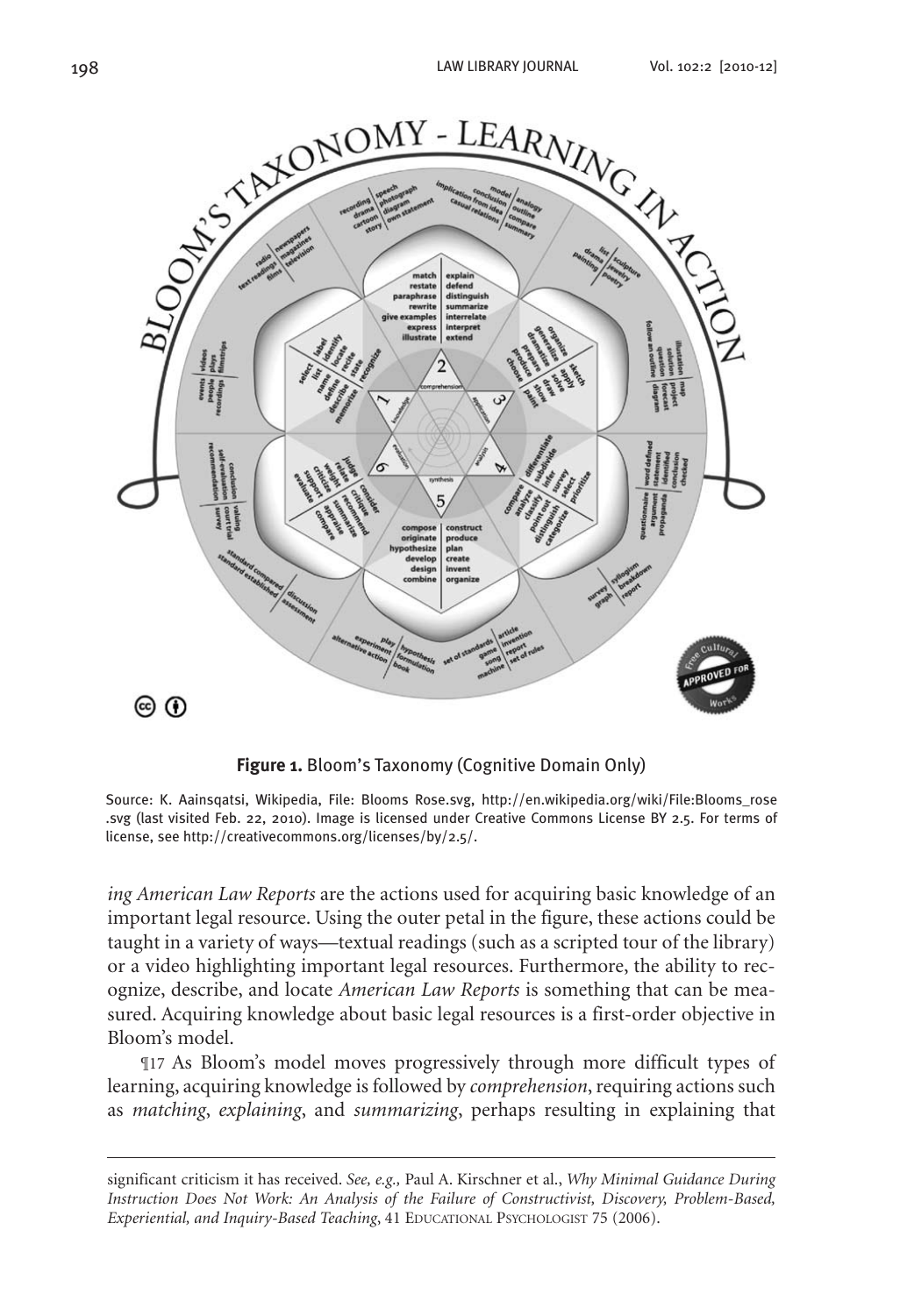

**Figure 1.** Bloom's Taxonomy (Cognitive Domain Only)

Source: K. Aainsqatsi, Wikipedia, File: Blooms Rose.svg, http://en.wikipedia.org/wiki/File:Blooms\_rose .svg (last visited Feb. 22, 2010). Image is licensed under Creative Commons License BY 2.5. For terms of license, see http://creativecommons.org/licenses/by/2.5/.

*ing American Law Reports* are the actions used for acquiring basic knowledge of an important legal resource. Using the outer petal in the figure, these actions could be taught in a variety of ways—textual readings (such as a scripted tour of the library) or a video highlighting important legal resources. Furthermore, the ability to recognize, describe, and locate *American Law Reports* is something that can be measured. Acquiring knowledge about basic legal resources is a first-order objective in Bloom's model.

¶17 As Bloom's model moves progressively through more difficult types of learning, acquiring knowledge is followed by *comprehension*, requiring actions such as *matching*, *explaining*, and *summarizing*, perhaps resulting in explaining that

significant criticism it has received. *See, e.g.,* Paul A. Kirschner et al., *Why Minimal Guidance During Instruction Does Not Work: An Analysis of the Failure of Constructivist, Discovery, Problem-Based, Experiential, and Inquiry-Based Teaching*, 41 EDUCATIONAL PSYCHOLOGIST 75 (2006).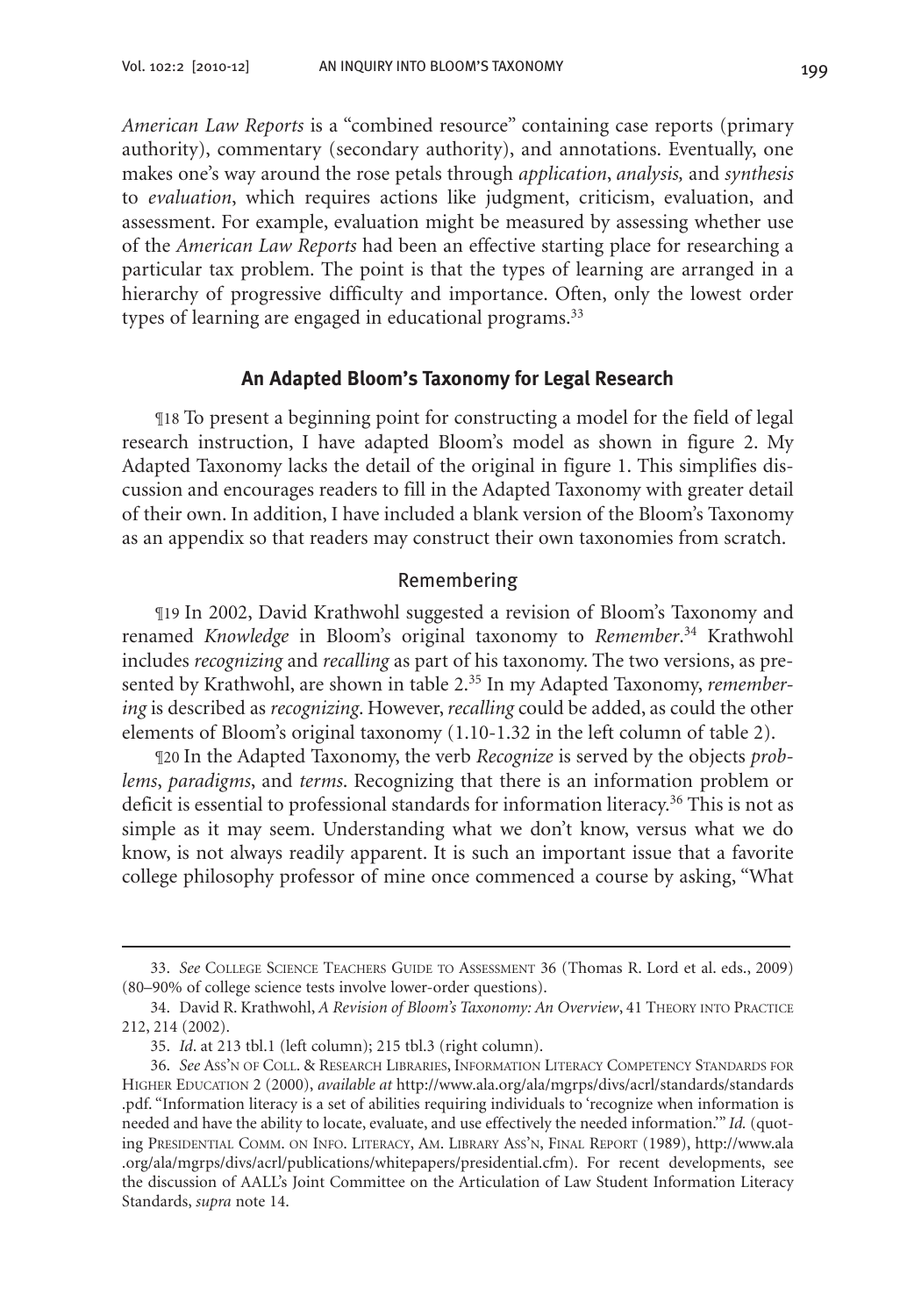*American Law Reports* is a "combined resource" containing case reports (primary authority), commentary (secondary authority), and annotations. Eventually, one makes one's way around the rose petals through *application*, *analysis,* and *synthesis* to *evaluation*, which requires actions like judgment, criticism, evaluation, and assessment. For example, evaluation might be measured by assessing whether use of the *American Law Reports* had been an effective starting place for researching a particular tax problem. The point is that the types of learning are arranged in a hierarchy of progressive difficulty and importance. Often, only the lowest order types of learning are engaged in educational programs.<sup>33</sup>

#### **An Adapted Bloom's Taxonomy for Legal Research**

¶18 To present a beginning point for constructing a model for the field of legal research instruction, I have adapted Bloom's model as shown in figure 2. My Adapted Taxonomy lacks the detail of the original in figure 1. This simplifies discussion and encourages readers to fill in the Adapted Taxonomy with greater detail of their own. In addition, I have included a blank version of the Bloom's Taxonomy as an appendix so that readers may construct their own taxonomies from scratch.

#### Remembering

¶19 In 2002, David Krathwohl suggested a revision of Bloom's Taxonomy and renamed *Knowledge* in Bloom's original taxonomy to *Remember*. 34 Krathwohl includes *recognizing* and *recalling* as part of his taxonomy. The two versions, as presented by Krathwohl, are shown in table 2.35 In my Adapted Taxonomy, *remembering* is described as *recognizing*. However, *recalling* could be added, as could the other elements of Bloom's original taxonomy (1.10-1.32 in the left column of table 2).

¶20 In the Adapted Taxonomy, the verb *Recognize* is served by the objects *problems*, *paradigms*, and *terms*. Recognizing that there is an information problem or deficit is essential to professional standards for information literacy.<sup>36</sup> This is not as simple as it may seem. Understanding what we don't know, versus what we do know, is not always readily apparent. It is such an important issue that a favorite college philosophy professor of mine once commenced a course by asking, "What

<sup>33.</sup> *See* College Science Teachers Guide to Assessment 36 (Thomas R. Lord et al. eds., 2009) (80–90% of college science tests involve lower-order questions).

<sup>34.</sup> David R. Krathwohl, *A Revision of Bloom's Taxonomy: An Overview*, 41 THEORY INTO PRACTICE 212, 214 (2002).

<sup>35.</sup> *Id*. at 213 tbl.1 (left column); 215 tbl.3 (right column).

<sup>36.</sup> *See* Ass'n of Coll. & Research Libraries, Information Literacy Competency Standards for Higher Education 2 (2000), *available at* http://www.ala.org/ala/mgrps/divs/acrl/standards/standards .pdf. "Information literacy is a set of abilities requiring individuals to 'recognize when information is needed and have the ability to locate, evaluate, and use effectively the needed information.'" *Id.* (quoting Presidential Comm. on Info. Literacy, Am. Library Ass'n, Final Report (1989), http://www.ala .org/ala/mgrps/divs/acrl/publications/whitepapers/presidential.cfm). For recent developments, see the discussion of AALL's Joint Committee on the Articulation of Law Student Information Literacy Standards, *supra* note 14.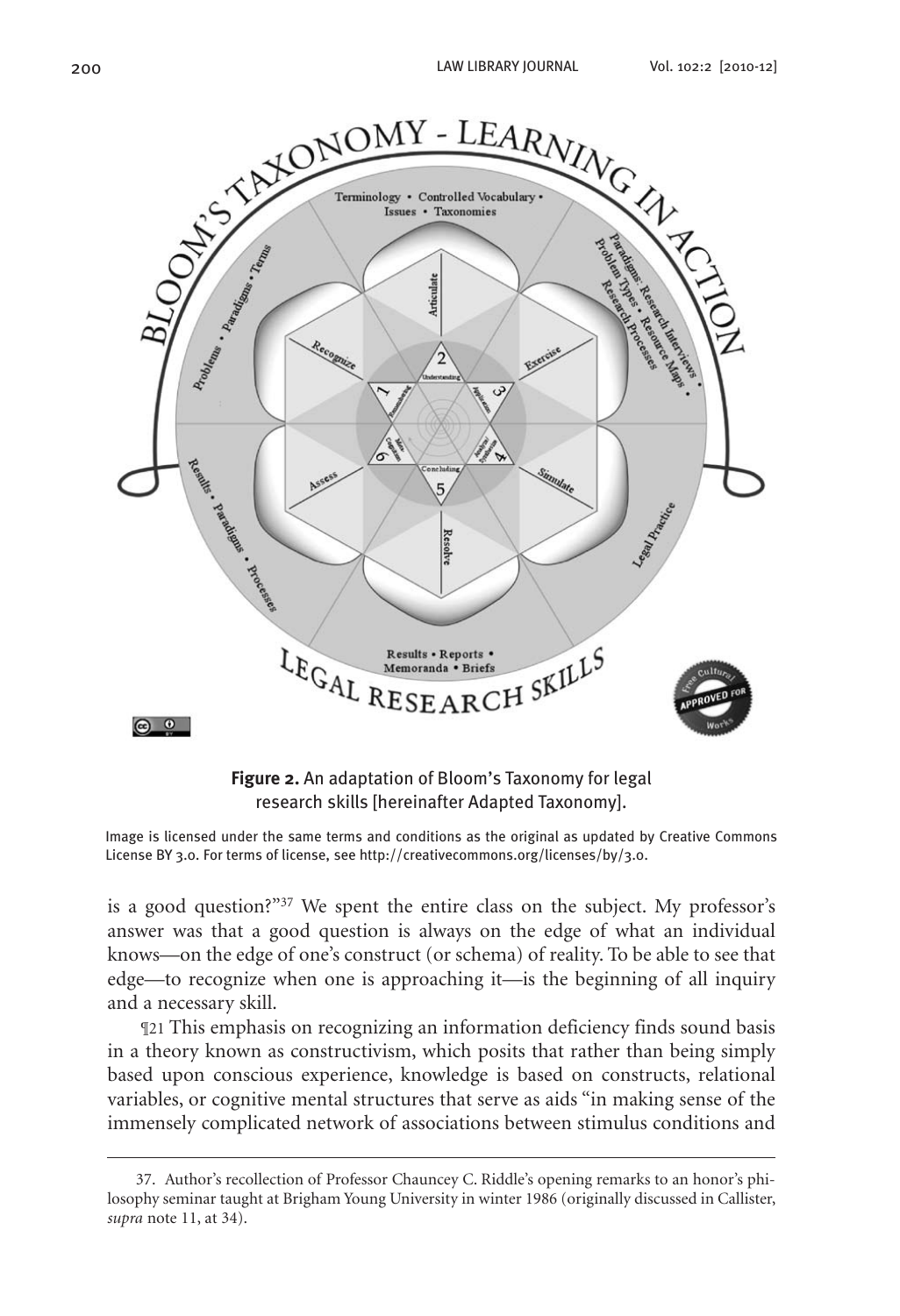





Image is licensed under the same terms and conditions as the original as updated by Creative Commons License BY 3.0. For terms of license, see http://creativecommons.org/licenses/by/3.0.

is a good question?"<sup>37</sup> We spent the entire class on the subject. My professor's answer was that a good question is always on the edge of what an individual knows—on the edge of one's construct (or schema) of reality. To be able to see that edge—to recognize when one is approaching it—is the beginning of all inquiry and a necessary skill.

¶21 This emphasis on recognizing an information deficiency finds sound basis in a theory known as constructivism, which posits that rather than being simply based upon conscious experience, knowledge is based on constructs, relational variables, or cognitive mental structures that serve as aids "in making sense of the immensely complicated network of associations between stimulus conditions and

<sup>37.</sup> Author's recollection of Professor Chauncey C. Riddle's opening remarks to an honor's philosophy seminar taught at Brigham Young University in winter 1986 (originally discussed in Callister, *supra* note 11, at 34).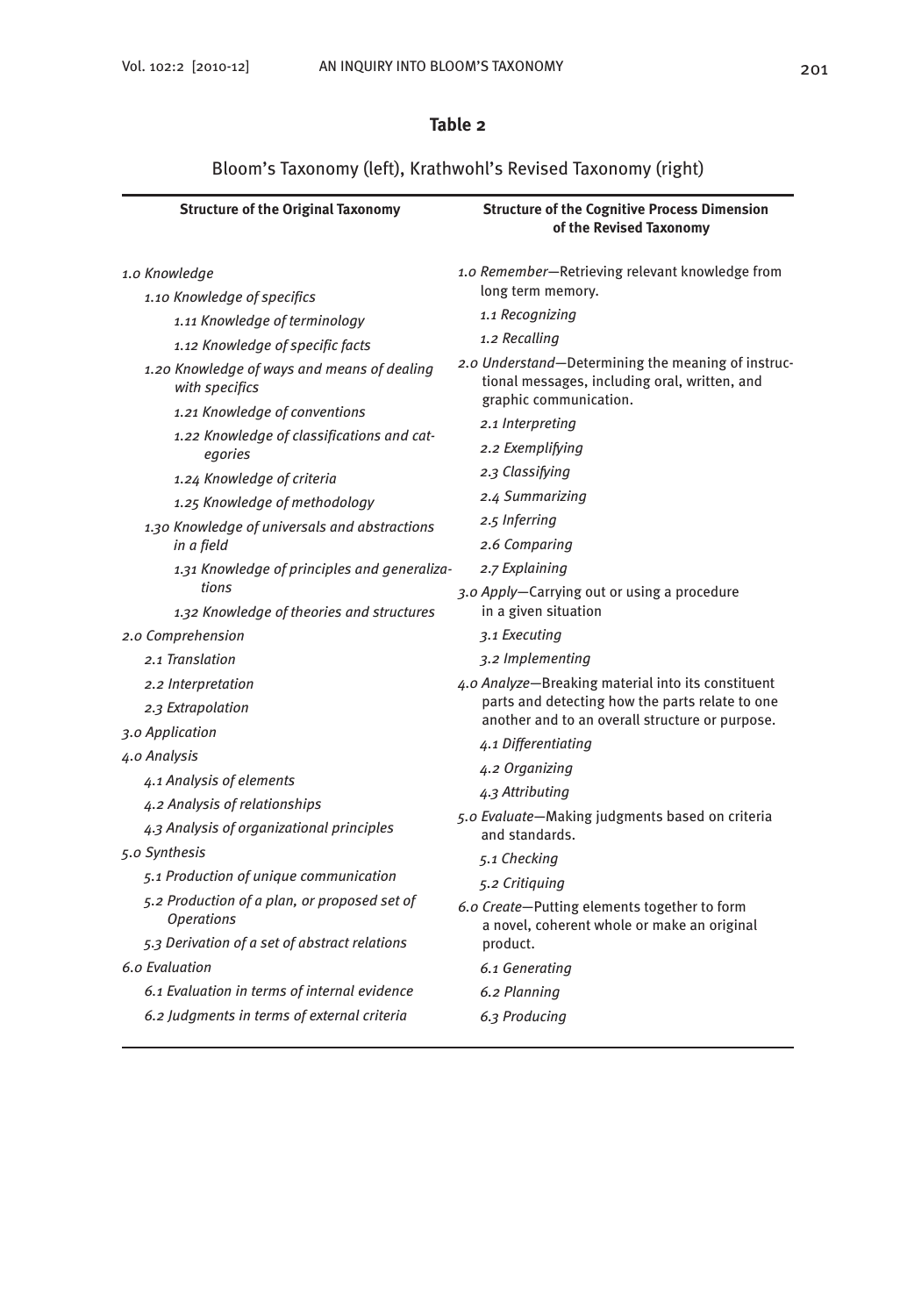# **Table 2**

# Bloom's Taxonomy (left), Krathwohl's Revised Taxonomy (right)

| <b>Structure of the Original Taxonomy</b>                         | <b>Structure of the Cognitive Process Dimension</b><br>of the Revised Taxonomy              |  |  |
|-------------------------------------------------------------------|---------------------------------------------------------------------------------------------|--|--|
| 1.0 Knowledge                                                     | 1.0 Remember-Retrieving relevant knowledge from<br>long term memory.<br>1.1 Recognizing     |  |  |
| 1.10 Knowledge of specifics                                       |                                                                                             |  |  |
| 1.11 Knowledge of terminology                                     | 1.2 Recalling                                                                               |  |  |
| 1.12 Knowledge of specific facts                                  | 2.0 Understand-Determining the meaning of instruc-                                          |  |  |
| 1.20 Knowledge of ways and means of dealing<br>with specifics     | tional messages, including oral, written, and<br>graphic communication.                     |  |  |
| 1.21 Knowledge of conventions                                     | 2.1 Interpreting                                                                            |  |  |
| 1.22 Knowledge of classifications and cat-<br>egories             | 2.2 Exemplifying                                                                            |  |  |
| 1.24 Knowledge of criteria                                        | 2.3 Classifying                                                                             |  |  |
| 1.25 Knowledge of methodology                                     | 2.4 Summarizing                                                                             |  |  |
| 1.30 Knowledge of universals and abstractions                     | 2.5 Inferring                                                                               |  |  |
| in a field                                                        | 2.6 Comparing                                                                               |  |  |
| 1.31 Knowledge of principles and generaliza-                      | 2.7 Explaining                                                                              |  |  |
| tions<br>1.32 Knowledge of theories and structures                | 3.0 Apply-Carrying out or using a procedure<br>in a given situation                         |  |  |
| 2.0 Comprehension                                                 | 3.1 Executing                                                                               |  |  |
| 2.1 Translation                                                   | 3.2 Implementing                                                                            |  |  |
| 2.2 Interpretation                                                | 4.0 Analyze-Breaking material into its constituent                                          |  |  |
| 2.3 Extrapolation                                                 | parts and detecting how the parts relate to one                                             |  |  |
| 3.0 Application                                                   | another and to an overall structure or purpose.                                             |  |  |
| 4.0 Analysis                                                      | 4.1 Differentiating<br>4.2 Organizing                                                       |  |  |
| 4.1 Analysis of elements                                          | 4.3 Attributing                                                                             |  |  |
| 4.2 Analysis of relationships                                     | 5.0 Evaluate-Making judgments based on criteria                                             |  |  |
| 4.3 Analysis of organizational principles                         | and standards.                                                                              |  |  |
| 5.0 Synthesis                                                     | 5.1 Checking                                                                                |  |  |
| 5.1 Production of unique communication                            | 5.2 Critiquing                                                                              |  |  |
| 5.2 Production of a plan, or proposed set of<br><b>Operations</b> | 6.0 Create-Putting elements together to form<br>a novel, coherent whole or make an original |  |  |
| 5.3 Derivation of a set of abstract relations                     | product.                                                                                    |  |  |
| 6.0 Evaluation                                                    | 6.1 Generating                                                                              |  |  |
| 6.1 Evaluation in terms of internal evidence                      | 6.2 Planning                                                                                |  |  |
| 6.2 Judgments in terms of external criteria                       | 6.3 Producing                                                                               |  |  |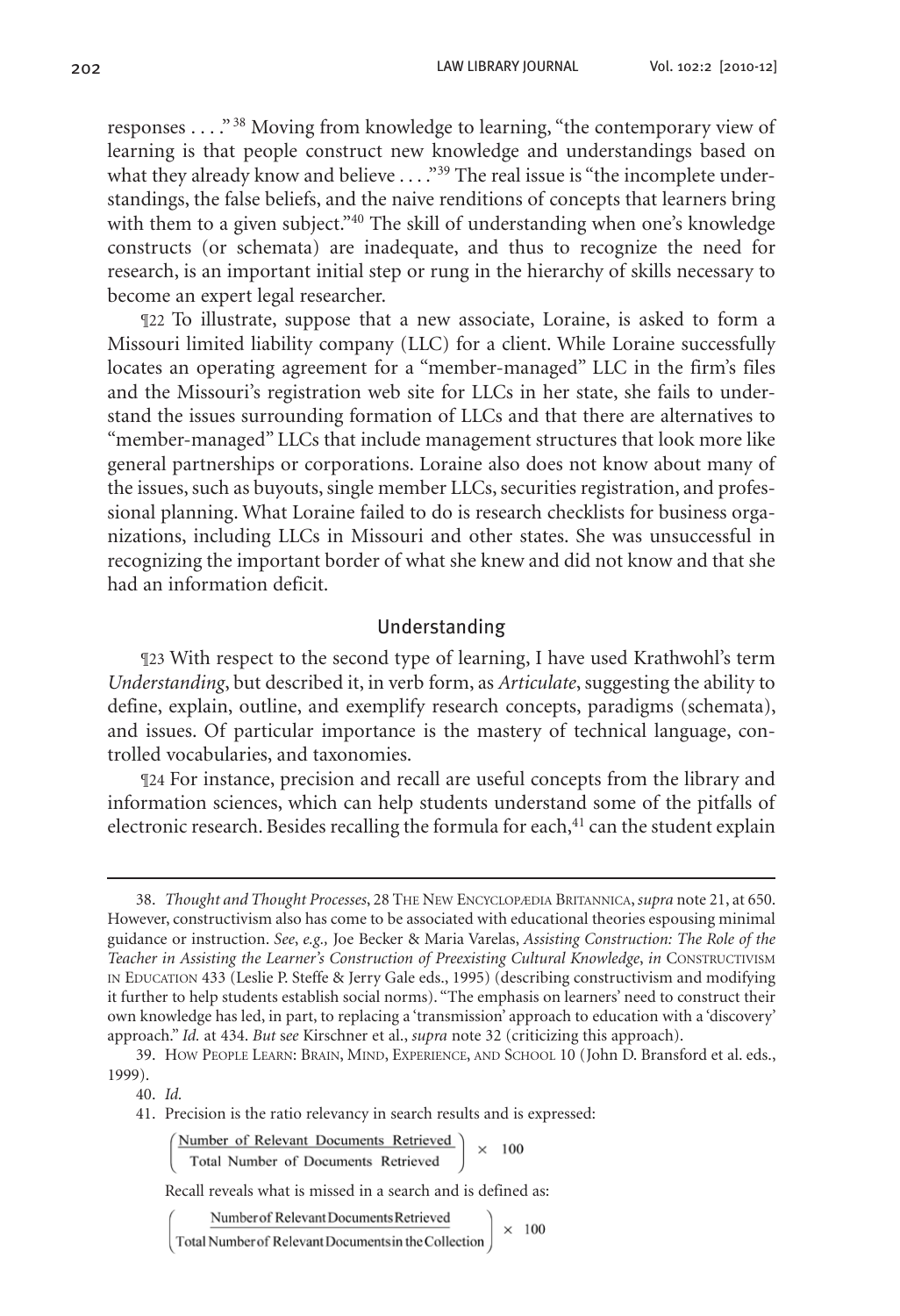responses . . . ." 38 Moving from knowledge to learning, "the contemporary view of learning is that people construct new knowledge and understandings based on what they already know and believe  $\ldots$ ."<sup>39</sup> The real issue is "the incomplete understandings, the false beliefs, and the naive renditions of concepts that learners bring with them to a given subject."<sup>40</sup> The skill of understanding when one's knowledge constructs (or schemata) are inadequate, and thus to recognize the need for research, is an important initial step or rung in the hierarchy of skills necessary to become an expert legal researcher.

¶22 To illustrate, suppose that a new associate, Loraine, is asked to form a Missouri limited liability company (LLC) for a client. While Loraine successfully locates an operating agreement for a "member-managed" LLC in the firm's files and the Missouri's registration web site for LLCs in her state, she fails to understand the issues surrounding formation of LLCs and that there are alternatives to "member-managed" LLCs that include management structures that look more like general partnerships or corporations. Loraine also does not know about many of the issues, such as buyouts, single member LLCs, securities registration, and professional planning. What Loraine failed to do is research checklists for business organizations, including LLCs in Missouri and other states. She was unsuccessful in recognizing the important border of what she knew and did not know and that she had an information deficit.

#### Understanding

¶23 With respect to the second type of learning, I have used Krathwohl's term *Understanding*, but described it, in verb form, as *Articulate*, suggesting the ability to define, explain, outline, and exemplify research concepts, paradigms (schemata), and issues. Of particular importance is the mastery of technical language, controlled vocabularies, and taxonomies.

¶24 For instance, precision and recall are useful concepts from the library and information sciences, which can help students understand some of the pitfalls of electronic research. Besides recalling the formula for each, $41$  can the student explain

Number of Relevant Documents Retrieved  $\times 100$ Total Number of Documents Retrieved

Recall reveals what is missed in a search and is defined as:

Number of Relevant Documents Retrieved

Total Number of Relevant Documents in the Collection

 $\times$  100

<sup>38.</sup> *Thought and Thought Processes*, 28 The New Encyclopædia Britannica, *supra* note 21, at 650. However, constructivism also has come to be associated with educational theories espousing minimal guidance or instruction. *See*, *e.g.,* Joe Becker & Maria Varelas, *Assisting Construction: The Role of the Teacher in Assisting the Learner's Construction of Preexisting Cultural Knowledge*, *in* Constructivism in Education 433 (Leslie P. Steffe & Jerry Gale eds., 1995) (describing constructivism and modifying it further to help students establish social norms). "The emphasis on learners' need to construct their own knowledge has led, in part, to replacing a 'transmission' approach to education with a 'discovery' approach." *Id.* at 434. *But* s*ee* Kirschner et al., *supra* note 32 (criticizing this approach).

<sup>39.</sup> How People Learn: Brain, Mind, Experience, and School 10 (John D. Bransford et al. eds., 1999).

<sup>40.</sup> *Id.*

<sup>41.</sup> Precision is the ratio relevancy in search results and is expressed: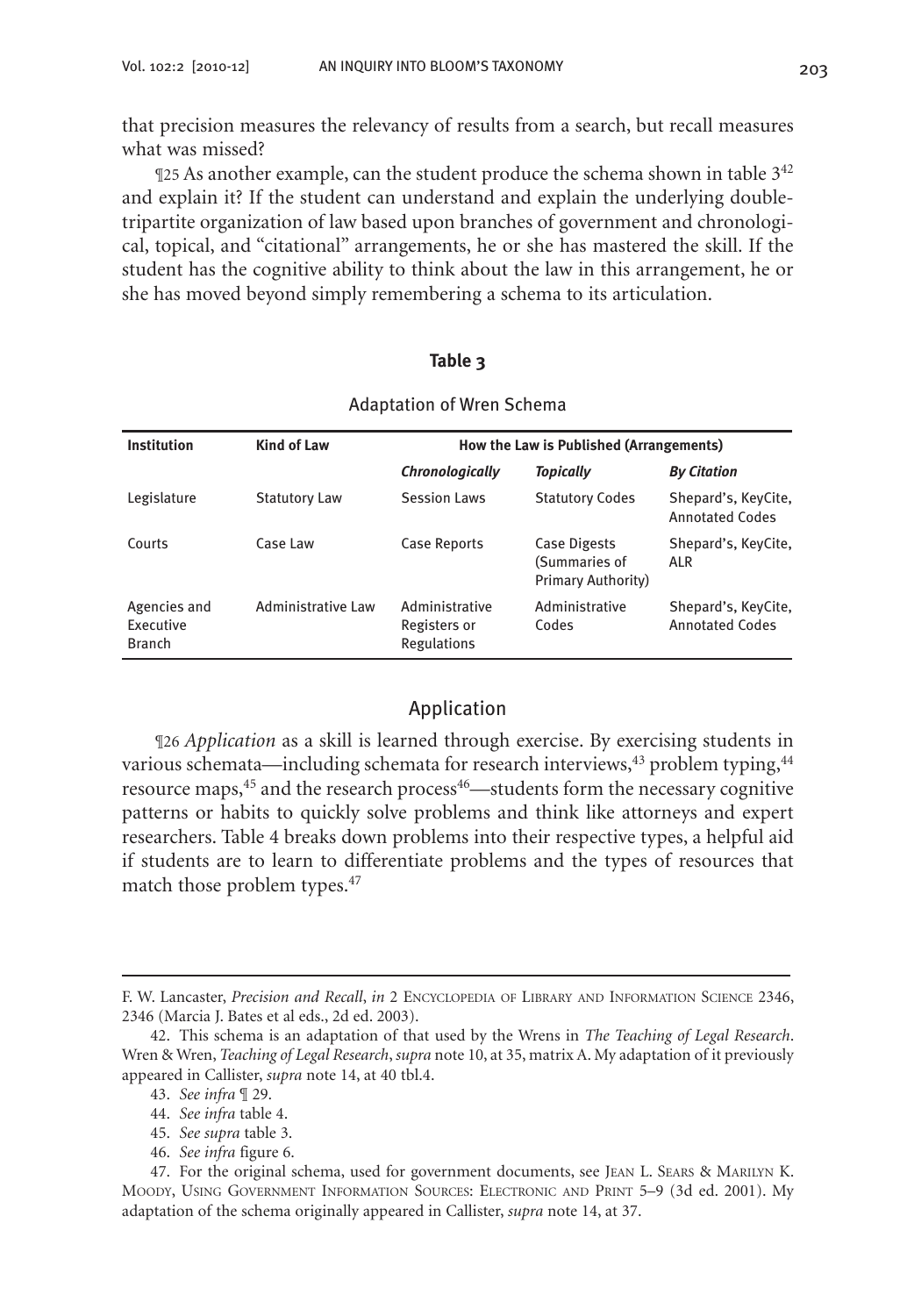that precision measures the relevancy of results from a search, but recall measures what was missed?

 $\mathbb{q}$ 25 As another example, can the student produce the schema shown in table  $3^{42}$ and explain it? If the student can understand and explain the underlying doubletripartite organization of law based upon branches of government and chronological, topical, and "citational" arrangements, he or she has mastered the skill. If the student has the cognitive ability to think about the law in this arrangement, he or she has moved beyond simply remembering a schema to its articulation.

#### **Table 3**

| Institution                                | <b>Kind of Law</b>        | How the Law is Published (Arrangements)              |                                                            |                                               |
|--------------------------------------------|---------------------------|------------------------------------------------------|------------------------------------------------------------|-----------------------------------------------|
|                                            |                           | Chronologically                                      | <b>Topically</b>                                           | <b>By Citation</b>                            |
| Legislature                                | <b>Statutory Law</b>      | Session Laws                                         | <b>Statutory Codes</b>                                     | Shepard's, KeyCite,<br>Annotated Codes        |
| Courts                                     | Case Law                  | Case Reports                                         | Case Digests<br>(Summaries of<br><b>Primary Authority)</b> | Shepard's, KeyCite,<br>ALR                    |
| Agencies and<br>Executive<br><b>Branch</b> | <b>Administrative Law</b> | Administrative<br>Registers or<br><b>Regulations</b> | Administrative<br>Codes                                    | Shepard's, KeyCite,<br><b>Annotated Codes</b> |

#### Adaptation of Wren Schema

#### Application

¶26 *Application* as a skill is learned through exercise. By exercising students in various schemata—including schemata for research interviews, $43$  problem typing, $44$ resource maps,<sup>45</sup> and the research process<sup>46</sup>—students form the necessary cognitive patterns or habits to quickly solve problems and think like attorneys and expert researchers. Table 4 breaks down problems into their respective types, a helpful aid if students are to learn to differentiate problems and the types of resources that match those problem types.<sup>47</sup>

F. W. Lancaster, *Precision and Recall*, *in* 2 Encyclopedia of Library and Information Science 2346, 2346 (Marcia J. Bates et al eds., 2d ed. 2003).

<sup>42.</sup> This schema is an adaptation of that used by the Wrens in *The Teaching of Legal Research*. Wren & Wren, *Teaching of Legal Research*, *supra* note 10, at 35, matrix A. My adaptation of it previously appeared in Callister, *supra* note 14, at 40 tbl.4.

<sup>43.</sup> *See infra* ¶ 29.

<sup>44.</sup> *See infra* table 4.

<sup>45.</sup> *See supra* table 3.

<sup>46.</sup> *See infra* figure 6.

<sup>47.</sup> For the original schema, used for government documents, see Jean L. Sears & Marilyn K. Moody, Using Government Information Sources: Electronic and Print 5–9 (3d ed. 2001). My adaptation of the schema originally appeared in Callister, *supra* note 14, at 37.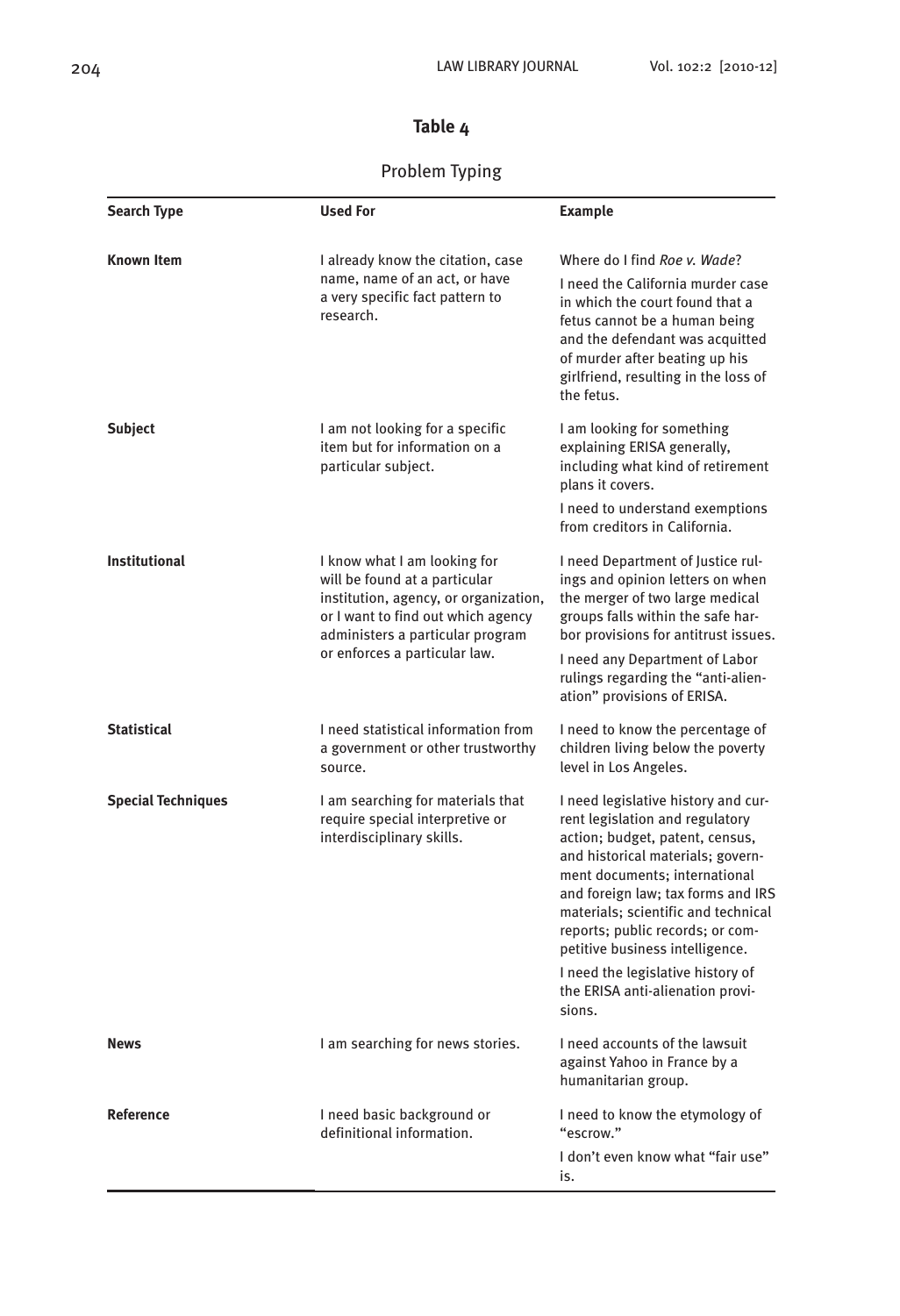# **Table 4**

# Problem Typing

| <b>Search Type</b>        | <b>Used For</b>                                                                                                                                                                                                   | <b>Example</b>                                                                                                                                                                                                                                                                                                                                                                                                         |
|---------------------------|-------------------------------------------------------------------------------------------------------------------------------------------------------------------------------------------------------------------|------------------------------------------------------------------------------------------------------------------------------------------------------------------------------------------------------------------------------------------------------------------------------------------------------------------------------------------------------------------------------------------------------------------------|
| Known Item                | I already know the citation, case<br>name, name of an act, or have<br>a very specific fact pattern to<br>research.                                                                                                | Where do I find Roe v. Wade?<br>I need the California murder case<br>in which the court found that a<br>fetus cannot be a human being<br>and the defendant was acquitted<br>of murder after beating up his<br>girlfriend, resulting in the loss of<br>the fetus.                                                                                                                                                       |
| <b>Subject</b>            | I am not looking for a specific<br>item but for information on a<br>particular subject.                                                                                                                           | I am looking for something<br>explaining ERISA generally,<br>including what kind of retirement<br>plans it covers.<br>I need to understand exemptions<br>from creditors in California.                                                                                                                                                                                                                                 |
| <b>Institutional</b>      | I know what I am looking for<br>will be found at a particular<br>institution, agency, or organization,<br>or I want to find out which agency<br>administers a particular program<br>or enforces a particular law. | I need Department of Justice rul-<br>ings and opinion letters on when<br>the merger of two large medical<br>groups falls within the safe har-<br>bor provisions for antitrust issues.<br>I need any Department of Labor<br>rulings regarding the "anti-alien-<br>ation" provisions of ERISA.                                                                                                                           |
| <b>Statistical</b>        | I need statistical information from<br>a government or other trustworthy<br>source.                                                                                                                               | I need to know the percentage of<br>children living below the poverty<br>level in Los Angeles.                                                                                                                                                                                                                                                                                                                         |
| <b>Special Techniques</b> | I am searching for materials that<br>require special interpretive or<br>interdisciplinary skills.                                                                                                                 | I need legislative history and cur-<br>rent legislation and regulatory<br>action; budget, patent, census,<br>and historical materials; govern-<br>ment documents; international<br>and foreign law; tax forms and IRS<br>materials; scientific and technical<br>reports; public records; or com-<br>petitive business intelligence.<br>I need the legislative history of<br>the ERISA anti-alienation provi-<br>sions. |
| News                      | I am searching for news stories.                                                                                                                                                                                  | I need accounts of the lawsuit<br>against Yahoo in France by a<br>humanitarian group.                                                                                                                                                                                                                                                                                                                                  |
| <b>Reference</b>          | I need basic background or<br>I need to know the etymology of<br>definitional information.<br>"escrow."<br>I don't even know what "fair use"<br>is.                                                               |                                                                                                                                                                                                                                                                                                                                                                                                                        |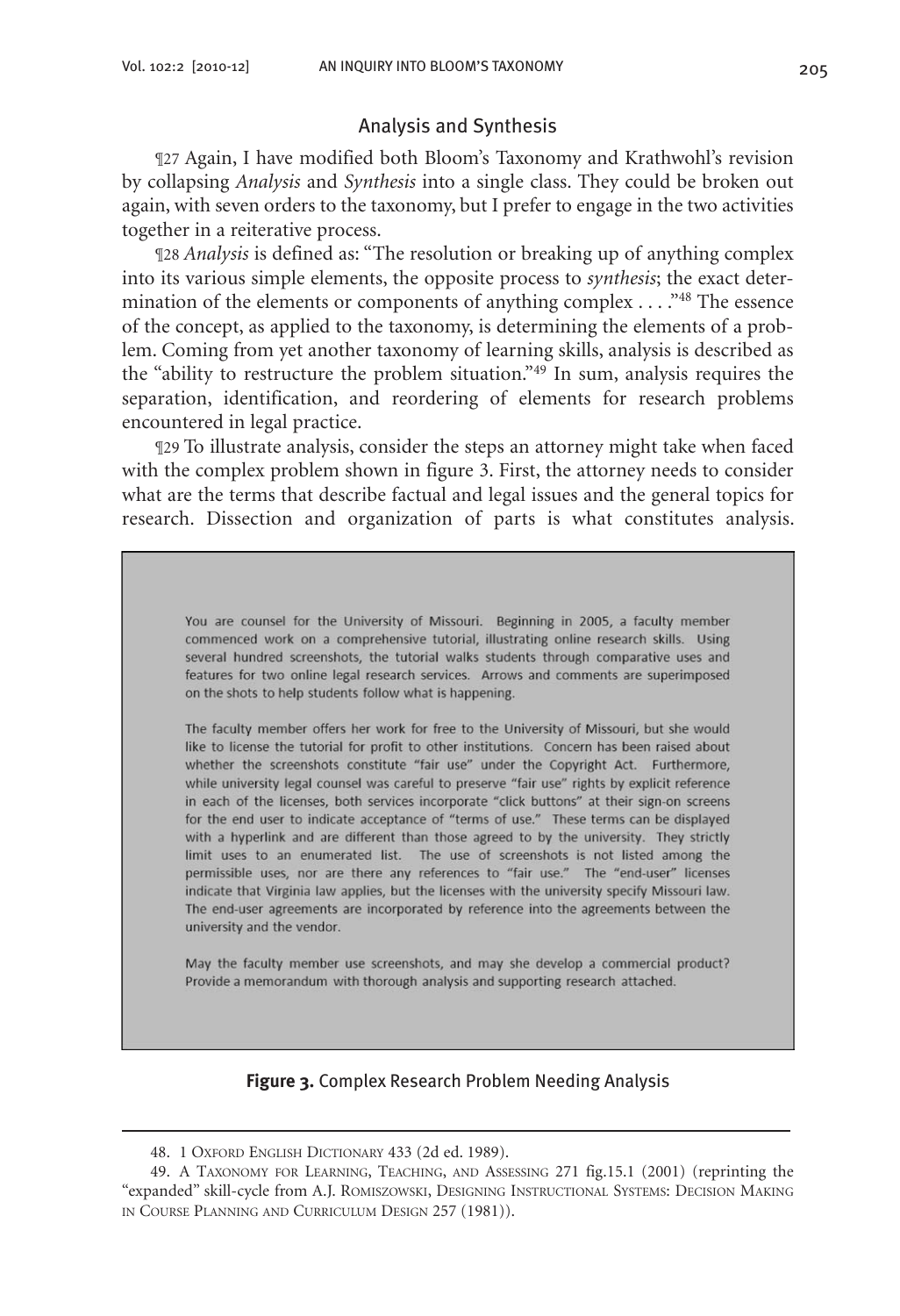#### Analysis and Synthesis

¶27 Again, I have modified both Bloom's Taxonomy and Krathwohl's revision by collapsing *Analysis* and *Synthesis* into a single class. They could be broken out again, with seven orders to the taxonomy, but I prefer to engage in the two activities together in a reiterative process.

¶28 *Analysis* is defined as: "The resolution or breaking up of anything complex into its various simple elements, the opposite process to *synthesis*; the exact determination of the elements or components of anything complex . . . ."48 The essence of the concept, as applied to the taxonomy, is determining the elements of a problem. Coming from yet another taxonomy of learning skills, analysis is described as the "ability to restructure the problem situation."49 In sum, analysis requires the separation, identification, and reordering of elements for research problems encountered in legal practice.

¶29 To illustrate analysis, consider the steps an attorney might take when faced with the complex problem shown in figure 3. First, the attorney needs to consider what are the terms that describe factual and legal issues and the general topics for research. Dissection and organization of parts is what constitutes analysis.

You are counsel for the University of Missouri. Beginning in 2005, a faculty member commenced work on a comprehensive tutorial, illustrating online research skills. Using several hundred screenshots, the tutorial walks students through comparative uses and features for two online legal research services. Arrows and comments are superimposed on the shots to help students follow what is happening.

The faculty member offers her work for free to the University of Missouri, but she would like to license the tutorial for profit to other institutions. Concern has been raised about whether the screenshots constitute "fair use" under the Copyright Act. Furthermore, while university legal counsel was careful to preserve "fair use" rights by explicit reference in each of the licenses, both services incorporate "click buttons" at their sign-on screens for the end user to indicate acceptance of "terms of use." These terms can be displayed with a hyperlink and are different than those agreed to by the university. They strictly limit uses to an enumerated list. The use of screenshots is not listed among the permissible uses, nor are there any references to "fair use." The "end-user" licenses indicate that Virginia law applies, but the licenses with the university specify Missouri law. The end-user agreements are incorporated by reference into the agreements between the university and the vendor.

May the faculty member use screenshots, and may she develop a commercial product? Provide a memorandum with thorough analysis and supporting research attached.

#### **Figure 3.** Complex Research Problem Needing Analysis

<sup>48.</sup> 1 Oxford English Dictionary 433 (2d ed. 1989).

<sup>49.</sup> A Taxonomy for Learning, Teaching, and Assessing 271 fig.15.1 (2001) (reprinting the "expanded" skill-cycle from A.J. Romiszowski, Designing Instructional Systems: Decision Making in Course Planning and Curriculum Design 257 (1981)).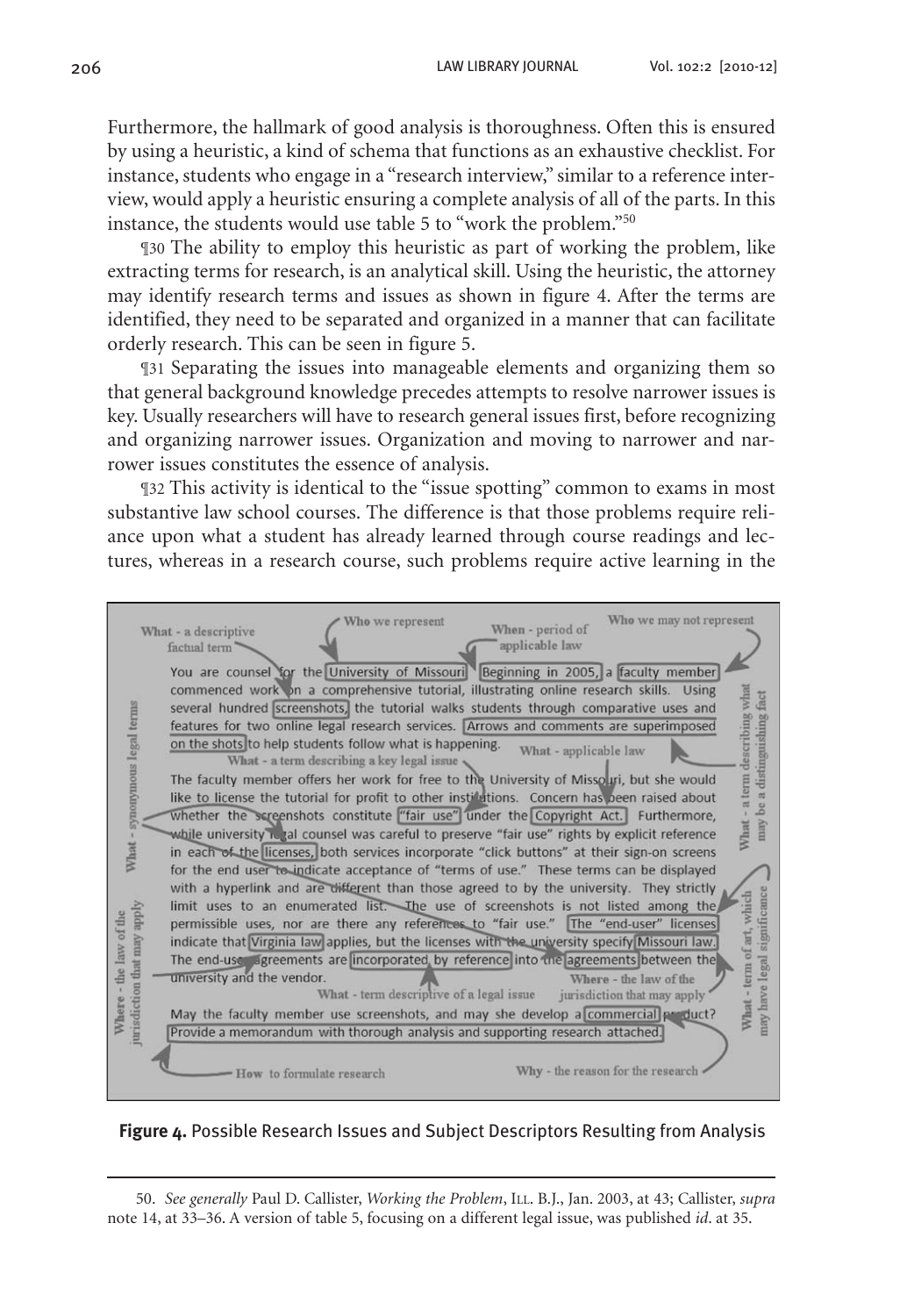Furthermore, the hallmark of good analysis is thoroughness. Often this is ensured by using a heuristic, a kind of schema that functions as an exhaustive checklist. For instance, students who engage in a "research interview," similar to a reference interview, would apply a heuristic ensuring a complete analysis of all of the parts. In this instance, the students would use table 5 to "work the problem."50

¶30 The ability to employ this heuristic as part of working the problem, like extracting terms for research, is an analytical skill. Using the heuristic, the attorney may identify research terms and issues as shown in figure 4. After the terms are identified, they need to be separated and organized in a manner that can facilitate orderly research. This can be seen in figure 5.

¶31 Separating the issues into manageable elements and organizing them so that general background knowledge precedes attempts to resolve narrower issues is key. Usually researchers will have to research general issues first, before recognizing and organizing narrower issues. Organization and moving to narrower and narrower issues constitutes the essence of analysis.

¶32 This activity is identical to the "issue spotting" common to exams in most substantive law school courses. The difference is that those problems require reliance upon what a student has already learned through course readings and lectures, whereas in a research course, such problems require active learning in the

| Who we may not represent<br>Who we represent<br>When - period of<br>What - a descriptive<br>applicable law<br>factual term<br>You are counsel for the University of Missouri Beginning in 2005, a faculty member<br>commenced work on a comprehensive tutorial, illustrating online research skills. Using<br>term describing what<br>a distinguishing fact<br>What - synonymous legal terms<br>several hundred screenshots, the tutorial walks students through comparative uses and<br>features for two online legal research services. Arrows and comments are superimposed<br>on the shots to help students follow what is happening.<br>What - applicable law<br>What - a term describing a key legal issue<br>The faculty member offers her work for free to the University of Missolui, but she would<br>like to license the tutorial for profit to other institutions. Concern has been raised about<br>may be<br>whether the screenshots constitute "fair use" under the Copyright Act. Furthermore,<br>What<br>while university it tal counsel was careful to preserve "fair use" rights by explicit reference<br>in each of the licenses, both services incorporate "click buttons" at their sign-on screens<br>for the end user to indicate acceptance of "terms of use." These terms can be displayed<br>with a hyperlink and are different than those agreed to by the university. They strictly<br>significance<br>What - term of art, which<br>limit uses to an enumerated list. The use of screenshots is not listed among the<br>jurisdiction that may apply<br>the law of the<br>permissible uses, nor are there any references to "fair use." The "end-user" licenses<br>indicate that Virginia law applies, but the licenses with the university specify Missouri law.<br>The end-use agreements are incorporated by reference into the agreements between the<br>university and the vendor.<br>Where - the law of the<br>What - term descriptive of a legal issue<br>jurisdiction that may apply |  |
|------------------------------------------------------------------------------------------------------------------------------------------------------------------------------------------------------------------------------------------------------------------------------------------------------------------------------------------------------------------------------------------------------------------------------------------------------------------------------------------------------------------------------------------------------------------------------------------------------------------------------------------------------------------------------------------------------------------------------------------------------------------------------------------------------------------------------------------------------------------------------------------------------------------------------------------------------------------------------------------------------------------------------------------------------------------------------------------------------------------------------------------------------------------------------------------------------------------------------------------------------------------------------------------------------------------------------------------------------------------------------------------------------------------------------------------------------------------------------------------------------------------------------------------------------------------------------------------------------------------------------------------------------------------------------------------------------------------------------------------------------------------------------------------------------------------------------------------------------------------------------------------------------------------------------------------------------------------------------------------------------------------------|--|
| nay have legal<br><b>Where</b><br>May the faculty member use screenshots, and may she develop a commercial product?                                                                                                                                                                                                                                                                                                                                                                                                                                                                                                                                                                                                                                                                                                                                                                                                                                                                                                                                                                                                                                                                                                                                                                                                                                                                                                                                                                                                                                                                                                                                                                                                                                                                                                                                                                                                                                                                                                    |  |
| Provide a memorandum with thorough analysis and supporting research attached.<br>Why - the reason for the research<br>How to formulate research                                                                                                                                                                                                                                                                                                                                                                                                                                                                                                                                                                                                                                                                                                                                                                                                                                                                                                                                                                                                                                                                                                                                                                                                                                                                                                                                                                                                                                                                                                                                                                                                                                                                                                                                                                                                                                                                        |  |
|                                                                                                                                                                                                                                                                                                                                                                                                                                                                                                                                                                                                                                                                                                                                                                                                                                                                                                                                                                                                                                                                                                                                                                                                                                                                                                                                                                                                                                                                                                                                                                                                                                                                                                                                                                                                                                                                                                                                                                                                                        |  |

**Figure 4.** Possible Research Issues and Subject Descriptors Resulting from Analysis

50. *See generally* Paul D. Callister, *Working the Problem*, Ill. B.J., Jan. 2003, at 43; Callister, *supra* note 14, at 33–36. A version of table 5, focusing on a different legal issue, was published *id*. at 35.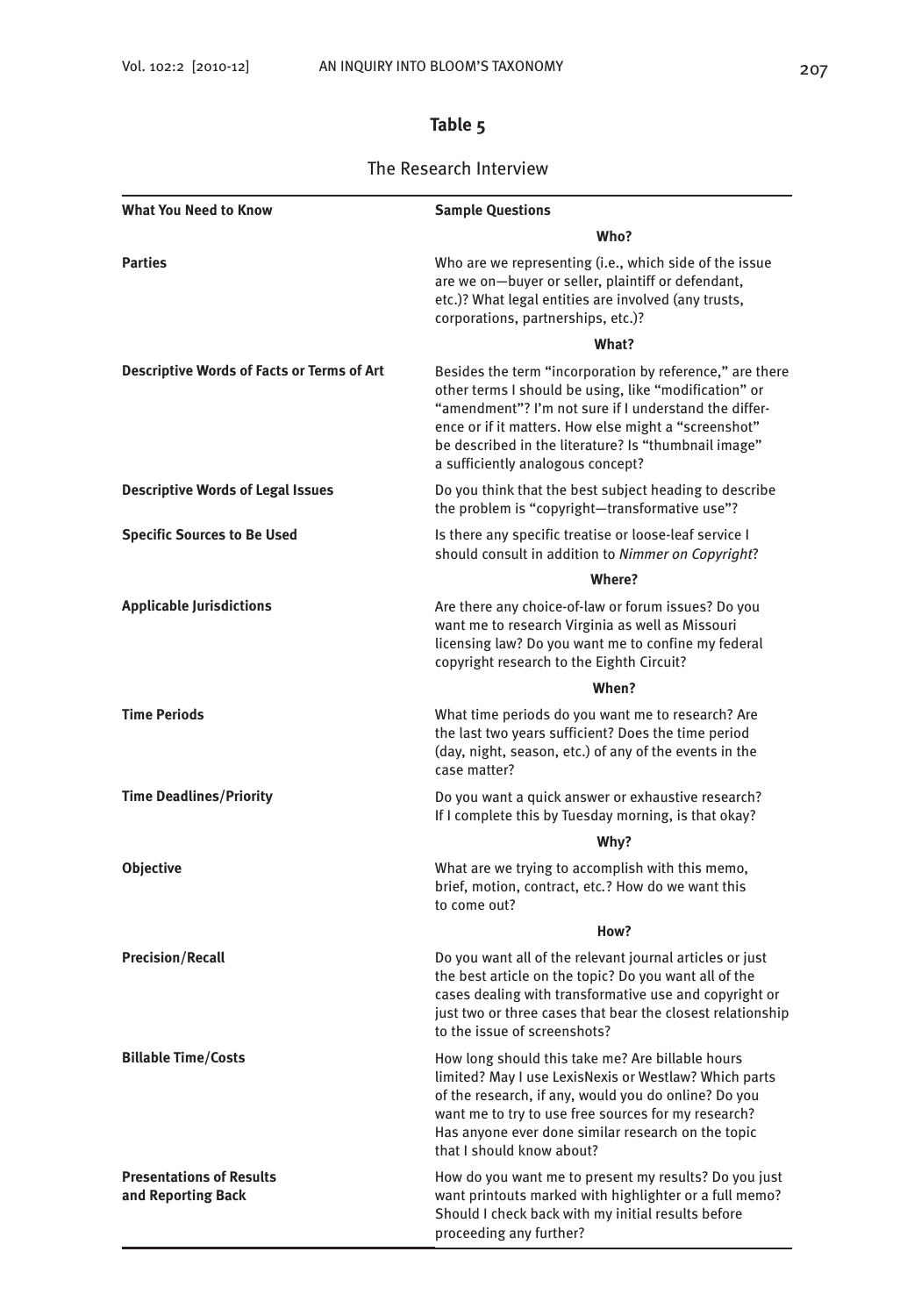# **Table 5**

### The Research Interview

| <b>What You Need to Know</b>                          | <b>Sample Questions</b>                                                                                                                                                                                                                                                                                                         |
|-------------------------------------------------------|---------------------------------------------------------------------------------------------------------------------------------------------------------------------------------------------------------------------------------------------------------------------------------------------------------------------------------|
|                                                       | Who?                                                                                                                                                                                                                                                                                                                            |
| <b>Parties</b>                                        | Who are we representing (i.e., which side of the issue<br>are we on-buyer or seller, plaintiff or defendant,<br>etc.)? What legal entities are involved (any trusts,<br>corporations, partnerships, etc.)?                                                                                                                      |
|                                                       | What?                                                                                                                                                                                                                                                                                                                           |
| <b>Descriptive Words of Facts or Terms of Art</b>     | Besides the term "incorporation by reference," are there<br>other terms I should be using, like "modification" or<br>"amendment"? I'm not sure if I understand the differ-<br>ence or if it matters. How else might a "screenshot"<br>be described in the literature? Is "thumbnail image"<br>a sufficiently analogous concept? |
| <b>Descriptive Words of Legal Issues</b>              | Do you think that the best subject heading to describe<br>the problem is "copyright-transformative use"?                                                                                                                                                                                                                        |
| <b>Specific Sources to Be Used</b>                    | Is there any specific treatise or loose-leaf service I<br>should consult in addition to Nimmer on Copyright?                                                                                                                                                                                                                    |
|                                                       | <b>Where?</b>                                                                                                                                                                                                                                                                                                                   |
| <b>Applicable Jurisdictions</b>                       | Are there any choice-of-law or forum issues? Do you<br>want me to research Virginia as well as Missouri<br>licensing law? Do you want me to confine my federal<br>copyright research to the Eighth Circuit?                                                                                                                     |
|                                                       | When?                                                                                                                                                                                                                                                                                                                           |
| <b>Time Periods</b>                                   | What time periods do you want me to research? Are<br>the last two years sufficient? Does the time period<br>(day, night, season, etc.) of any of the events in the<br>case matter?                                                                                                                                              |
| <b>Time Deadlines/Priority</b>                        | Do you want a quick answer or exhaustive research?<br>If I complete this by Tuesday morning, is that okay?                                                                                                                                                                                                                      |
|                                                       | Why?                                                                                                                                                                                                                                                                                                                            |
| Objective                                             | What are we trying to accomplish with this memo,<br>brief, motion, contract, etc.? How do we want this<br>to come out?                                                                                                                                                                                                          |
|                                                       | How?                                                                                                                                                                                                                                                                                                                            |
| <b>Precision/Recall</b>                               | Do you want all of the relevant journal articles or just<br>the best article on the topic? Do you want all of the<br>cases dealing with transformative use and copyright or<br>just two or three cases that bear the closest relationship<br>to the issue of screenshots?                                                       |
| <b>Billable Time/Costs</b>                            | How long should this take me? Are billable hours<br>limited? May I use LexisNexis or Westlaw? Which parts<br>of the research, if any, would you do online? Do you<br>want me to try to use free sources for my research?<br>Has anyone ever done similar research on the topic<br>that I should know about?                     |
| <b>Presentations of Results</b><br>and Reporting Back | How do you want me to present my results? Do you just<br>want printouts marked with highlighter or a full memo?<br>Should I check back with my initial results before<br>proceeding any further?                                                                                                                                |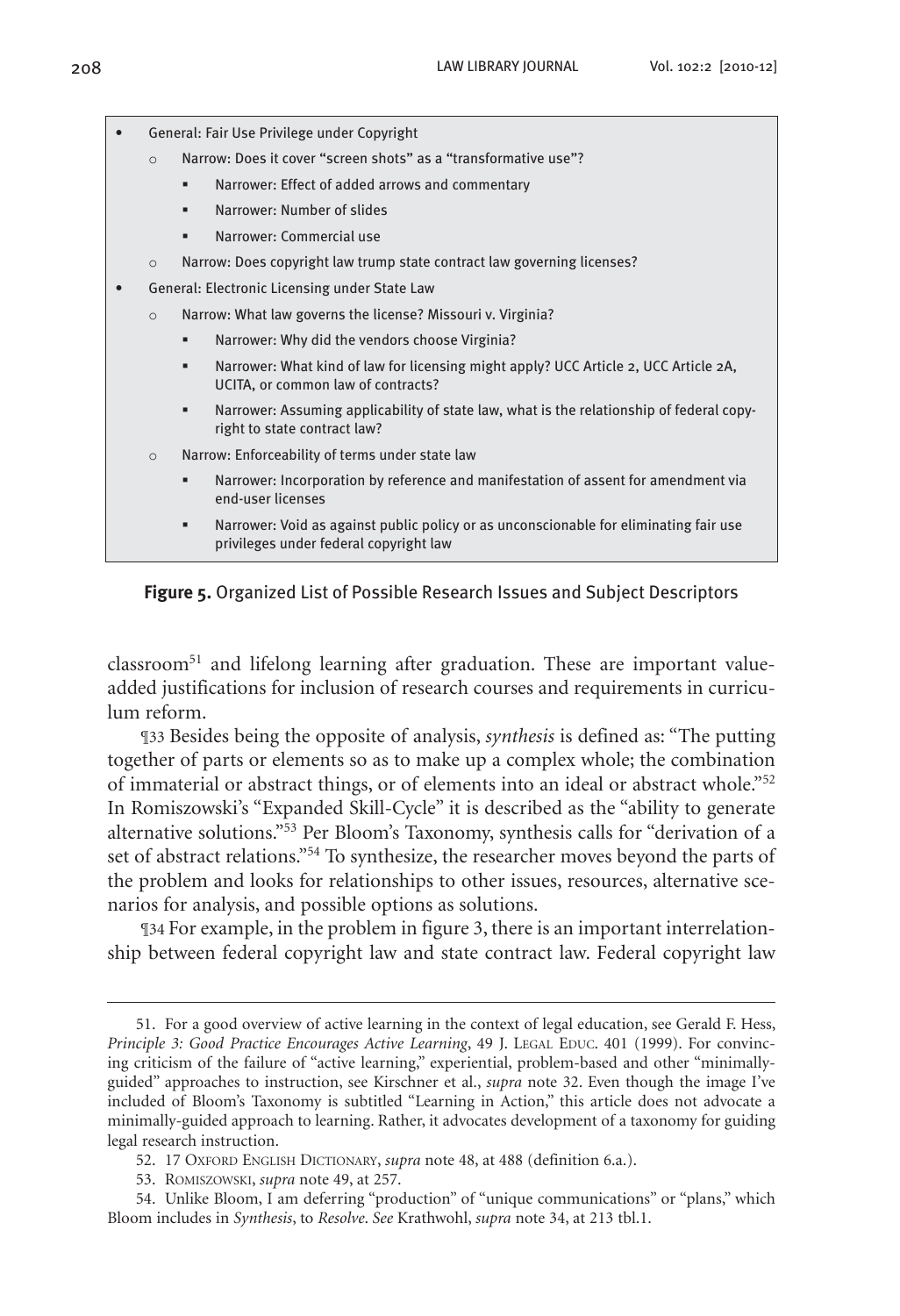

#### **Figure 5.** Organized List of Possible Research Issues and Subject Descriptors

classroom<sup>51</sup> and lifelong learning after graduation. These are important valueadded justifications for inclusion of research courses and requirements in curriculum reform.

¶33 Besides being the opposite of analysis, *synthesis* is defined as: "The putting together of parts or elements so as to make up a complex whole; the combination of immaterial or abstract things, or of elements into an ideal or abstract whole."52 In Romiszowski's "Expanded Skill-Cycle" it is described as the "ability to generate alternative solutions."53 Per Bloom's Taxonomy, synthesis calls for "derivation of a set of abstract relations."54 To synthesize, the researcher moves beyond the parts of the problem and looks for relationships to other issues, resources, alternative scenarios for analysis, and possible options as solutions.

¶34 For example, in the problem in figure 3, there is an important interrelationship between federal copyright law and state contract law. Federal copyright law

<sup>51.</sup> For a good overview of active learning in the context of legal education, see Gerald F. Hess, *Principle 3: Good Practice Encourages Active Learning*, 49 J. LEGAL EDUC. 401 (1999). For convincing criticism of the failure of "active learning," experiential, problem-based and other "minimallyguided" approaches to instruction, see Kirschner et al., *supra* note 32. Even though the image I've included of Bloom's Taxonomy is subtitled "Learning in Action," this article does not advocate a minimally-guided approach to learning. Rather, it advocates development of a taxonomy for guiding legal research instruction.

<sup>52.</sup> 17 Oxford English Dictionary, *supra* note 48, at 488 (definition 6.a.).

<sup>53.</sup> Romiszowski, *supra* note 49, at 257.

<sup>54.</sup> Unlike Bloom, I am deferring "production" of "unique communications" or "plans," which Bloom includes in *Synthesis*, to *Resolve*. *See* Krathwohl, *supra* note 34, at 213 tbl.1.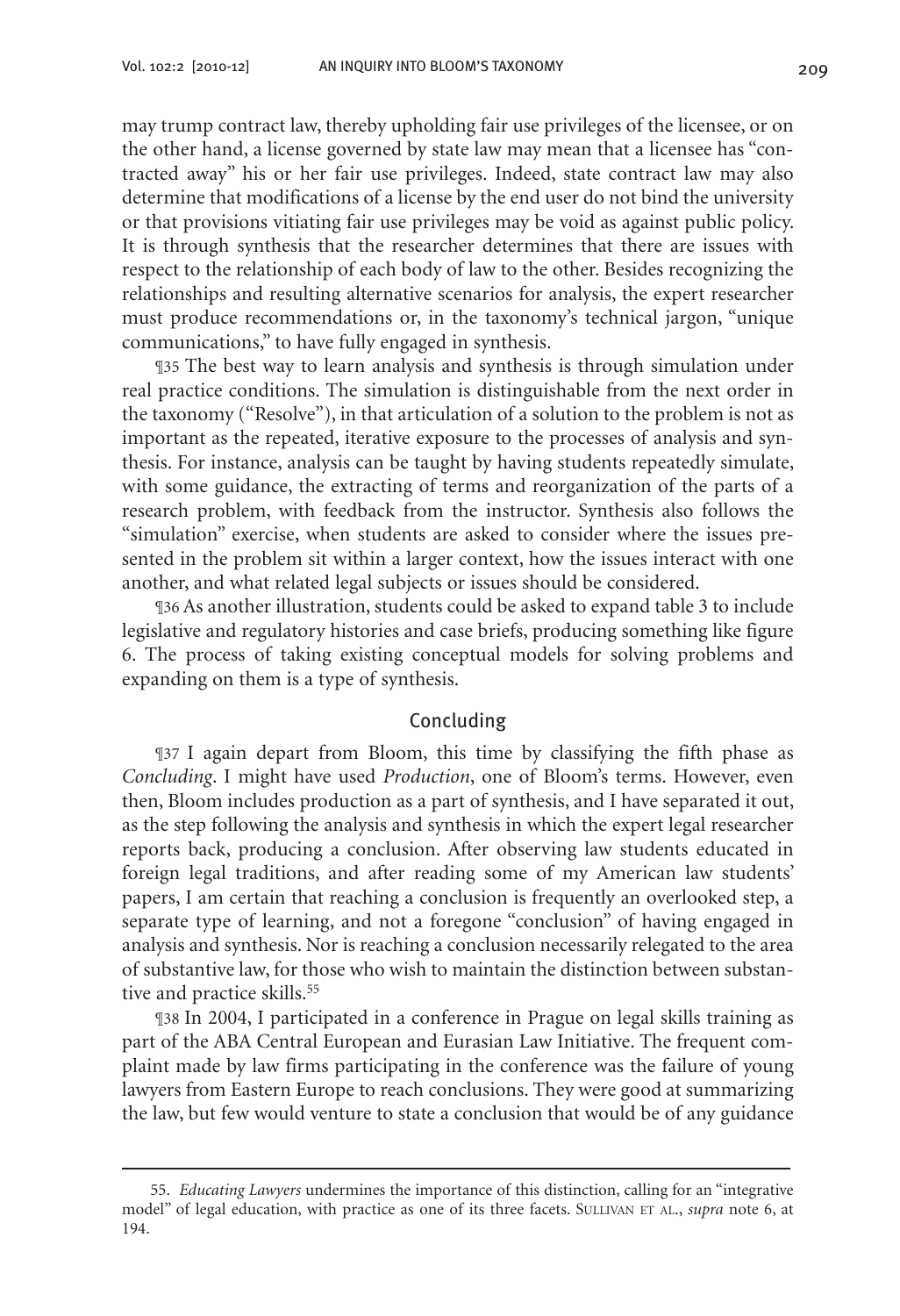may trump contract law, thereby upholding fair use privileges of the licensee, or on the other hand, a license governed by state law may mean that a licensee has "contracted away" his or her fair use privileges. Indeed, state contract law may also determine that modifications of a license by the end user do not bind the university or that provisions vitiating fair use privileges may be void as against public policy. It is through synthesis that the researcher determines that there are issues with respect to the relationship of each body of law to the other. Besides recognizing the relationships and resulting alternative scenarios for analysis, the expert researcher must produce recommendations or, in the taxonomy's technical jargon, "unique communications," to have fully engaged in synthesis.

¶35 The best way to learn analysis and synthesis is through simulation under real practice conditions. The simulation is distinguishable from the next order in the taxonomy ("Resolve"), in that articulation of a solution to the problem is not as important as the repeated, iterative exposure to the processes of analysis and synthesis. For instance, analysis can be taught by having students repeatedly simulate, with some guidance, the extracting of terms and reorganization of the parts of a research problem, with feedback from the instructor. Synthesis also follows the "simulation" exercise, when students are asked to consider where the issues presented in the problem sit within a larger context, how the issues interact with one another, and what related legal subjects or issues should be considered.

¶36 As another illustration, students could be asked to expand table 3 to include legislative and regulatory histories and case briefs, producing something like figure 6. The process of taking existing conceptual models for solving problems and expanding on them is a type of synthesis.

#### Concluding

¶37 I again depart from Bloom, this time by classifying the fifth phase as *Concluding*. I might have used *Production*, one of Bloom's terms. However, even then, Bloom includes production as a part of synthesis, and I have separated it out, as the step following the analysis and synthesis in which the expert legal researcher reports back, producing a conclusion. After observing law students educated in foreign legal traditions, and after reading some of my American law students' papers, I am certain that reaching a conclusion is frequently an overlooked step, a separate type of learning, and not a foregone "conclusion" of having engaged in analysis and synthesis. Nor is reaching a conclusion necessarily relegated to the area of substantive law, for those who wish to maintain the distinction between substantive and practice skills.<sup>55</sup>

¶38 In 2004, I participated in a conference in Prague on legal skills training as part of the ABA Central European and Eurasian Law Initiative. The frequent complaint made by law firms participating in the conference was the failure of young lawyers from Eastern Europe to reach conclusions. They were good at summarizing the law, but few would venture to state a conclusion that would be of any guidance

<sup>55.</sup> *Educating Lawyers* undermines the importance of this distinction, calling for an "integrative model" of legal education, with practice as one of its three facets. SULLIVAN ET AL., *supra* note 6, at 194.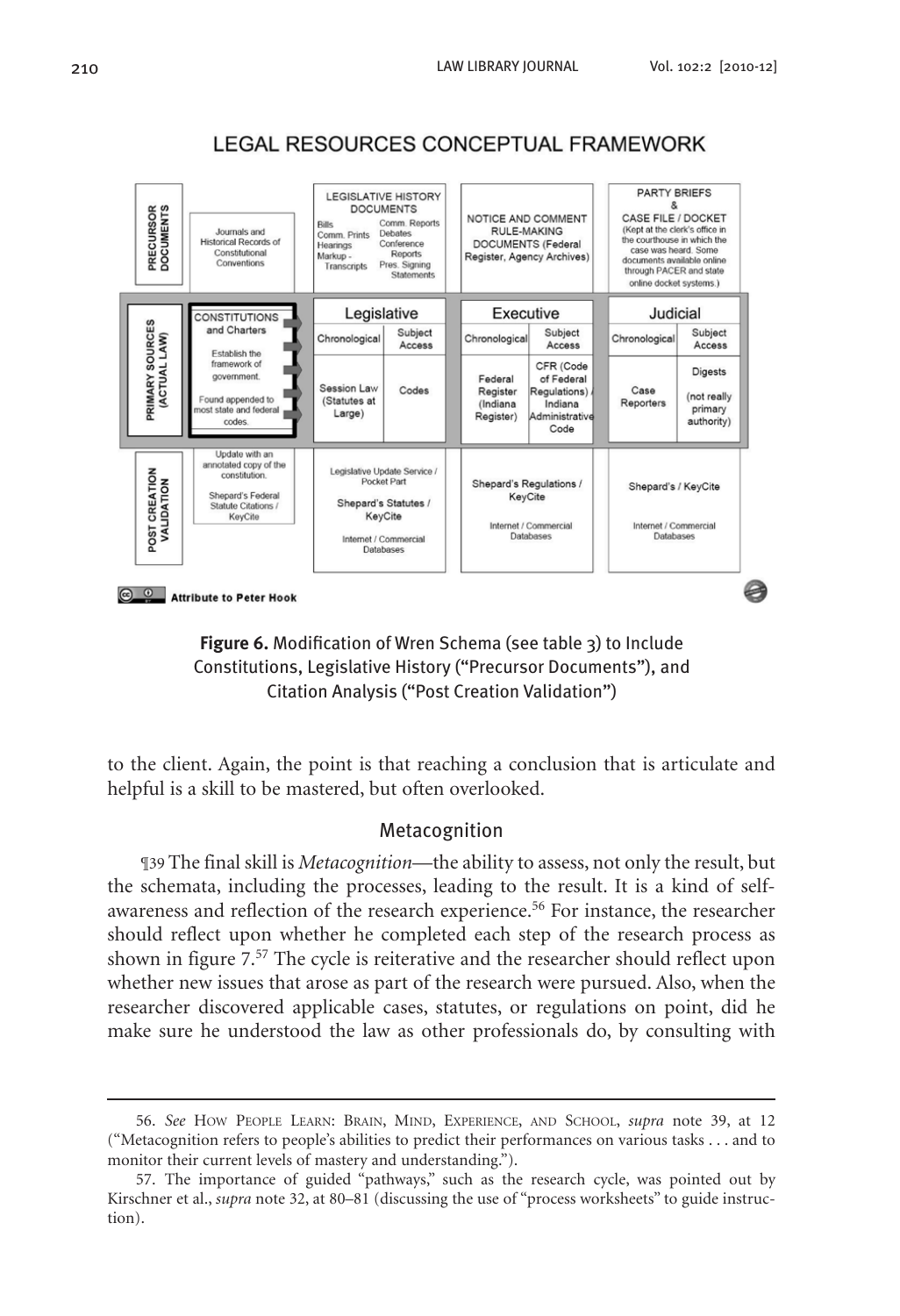

## LEGAL RESOURCES CONCEPTUAL FRAMEWORK



to the client. Again, the point is that reaching a conclusion that is articulate and helpful is a skill to be mastered, but often overlooked.

#### Metacognition

¶39 The final skill is *Metacognition*—the ability to assess, not only the result, but the schemata, including the processes, leading to the result. It is a kind of selfawareness and reflection of the research experience.56 For instance, the researcher should reflect upon whether he completed each step of the research process as shown in figure 7.57 The cycle is reiterative and the researcher should reflect upon whether new issues that arose as part of the research were pursued. Also, when the researcher discovered applicable cases, statutes, or regulations on point, did he make sure he understood the law as other professionals do, by consulting with

<sup>56.</sup> *See* How People Learn: Brain, Mind, Experience, and School, *supra* note 39, at 12 ("Metacognition refers to people's abilities to predict their performances on various tasks . . . and to monitor their current levels of mastery and understanding.").

<sup>57.</sup> The importance of guided "pathways," such as the research cycle, was pointed out by Kirschner et al., *supra* note 32, at 80–81 (discussing the use of "process worksheets" to guide instruction).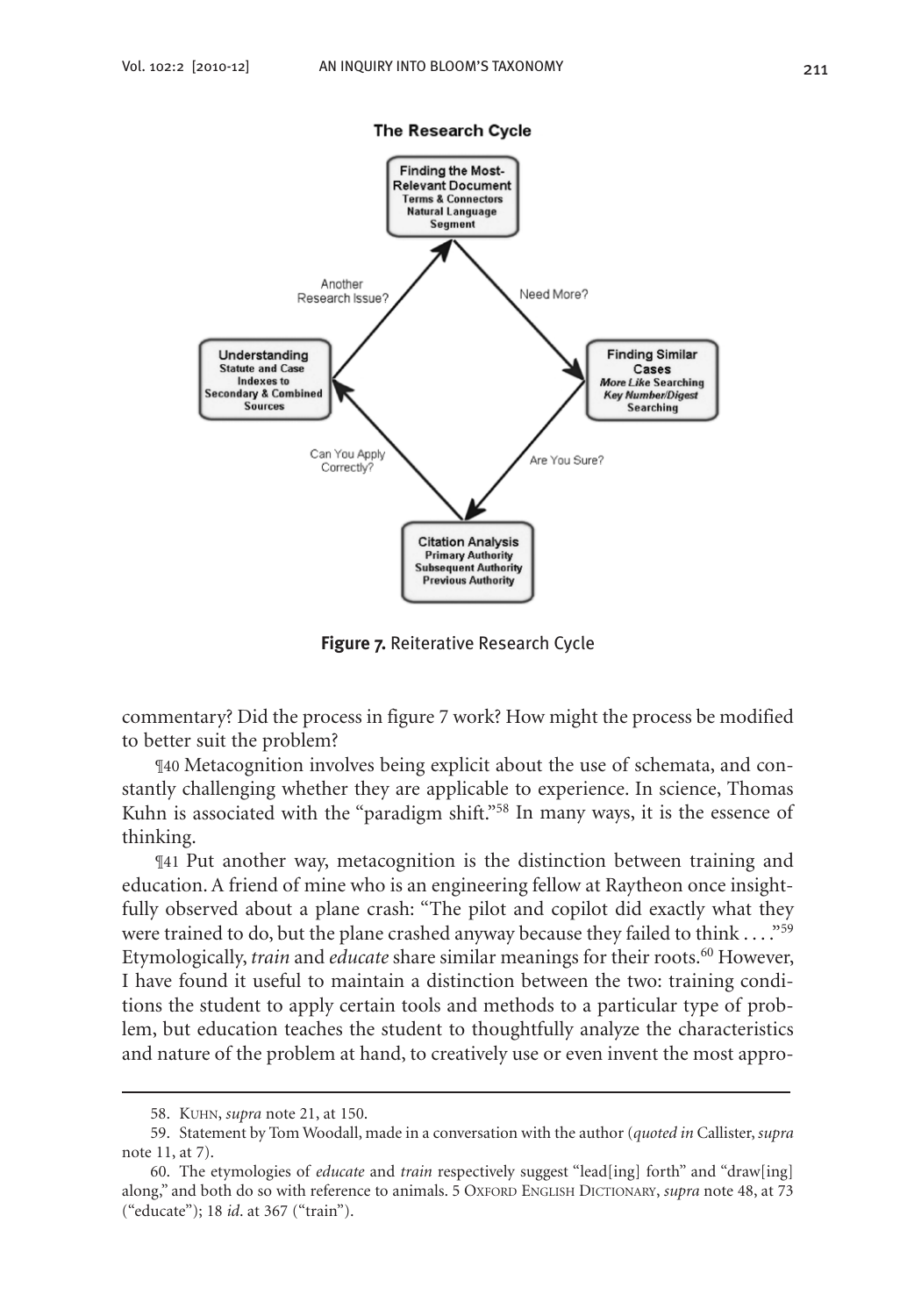

The Research Cycle

**Figure 7.** Reiterative Research Cycle

commentary? Did the process in figure 7 work? How might the process be modified to better suit the problem?

¶40 Metacognition involves being explicit about the use of schemata, and constantly challenging whether they are applicable to experience. In science, Thomas Kuhn is associated with the "paradigm shift."<sup>58</sup> In many ways, it is the essence of thinking.

¶41 Put another way, metacognition is the distinction between training and education. A friend of mine who is an engineering fellow at Raytheon once insightfully observed about a plane crash: "The pilot and copilot did exactly what they were trained to do, but the plane crashed anyway because they failed to think . . . . "<sup>59</sup> Etymologically, *train* and *educate* share similar meanings for their roots.<sup>60</sup> However, I have found it useful to maintain a distinction between the two: training conditions the student to apply certain tools and methods to a particular type of problem, but education teaches the student to thoughtfully analyze the characteristics and nature of the problem at hand, to creatively use or even invent the most appro-

<sup>58.</sup> Kuhn, *supra* note 21, at 150.

<sup>59.</sup> Statement by Tom Woodall, made in a conversation with the author (*quoted in* Callister, *supra* note 11, at 7).

<sup>60.</sup> The etymologies of *educate* and *train* respectively suggest "lead[ing] forth" and "draw[ing] along," and both do so with reference to animals. 5 OXFORD ENGLISH DICTIONARY, *supra* note 48, at 73 ("educate"); 18 *id*. at 367 ("train").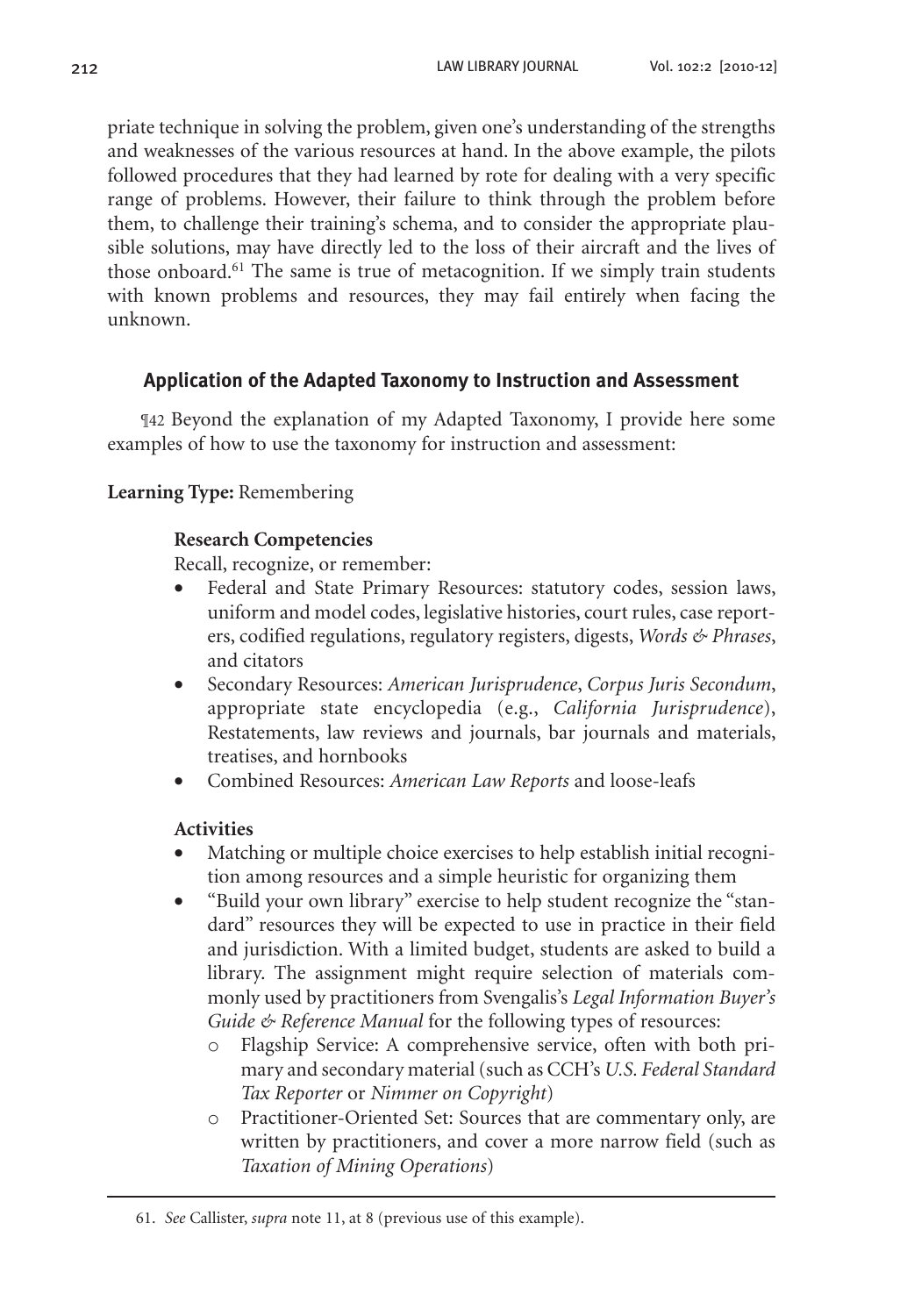priate technique in solving the problem, given one's understanding of the strengths and weaknesses of the various resources at hand. In the above example, the pilots followed procedures that they had learned by rote for dealing with a very specific range of problems. However, their failure to think through the problem before them, to challenge their training's schema, and to consider the appropriate plausible solutions, may have directly led to the loss of their aircraft and the lives of those onboard.<sup>61</sup> The same is true of metacognition. If we simply train students with known problems and resources, they may fail entirely when facing the unknown.

## **Application of the Adapted Taxonomy to Instruction and Assessment**

¶42 Beyond the explanation of my Adapted Taxonomy, I provide here some examples of how to use the taxonomy for instruction and assessment:

## **Learning Type:** Remembering

## **Research Competencies**

Recall, recognize, or remember:

- Federal and State Primary Resources: statutory codes, session laws, uniform and model codes, legislative histories, court rules, case reporters, codified regulations, regulatory registers, digests, *Words & Phrases*, and citators
- • Secondary Resources: *American Jurisprudence*, *Corpus Juris Secondum*, appropriate state encyclopedia (e.g., *California Jurisprudence*), Restatements, law reviews and journals, bar journals and materials, treatises, and hornbooks
- Combined Resources: *American Law Reports* and loose-leafs

## **Activities**

- Matching or multiple choice exercises to help establish initial recognition among resources and a simple heuristic for organizing them
- "Build your own library" exercise to help student recognize the "standard" resources they will be expected to use in practice in their field and jurisdiction. With a limited budget, students are asked to build a library. The assignment might require selection of materials commonly used by practitioners from Svengalis's *Legal Information Buyer's Guide & Reference Manual* for the following types of resources:
	- o Flagship Service: A comprehensive service, often with both primary and secondary material (such as CCH's *U.S. Federal Standard Tax Reporter* or *Nimmer on Copyright*)
	- o Practitioner-Oriented Set: Sources that are commentary only, are written by practitioners, and cover a more narrow field (such as *Taxation of Mining Operations*)

<sup>61.</sup> *See* Callister, *supra* note 11, at 8 (previous use of this example).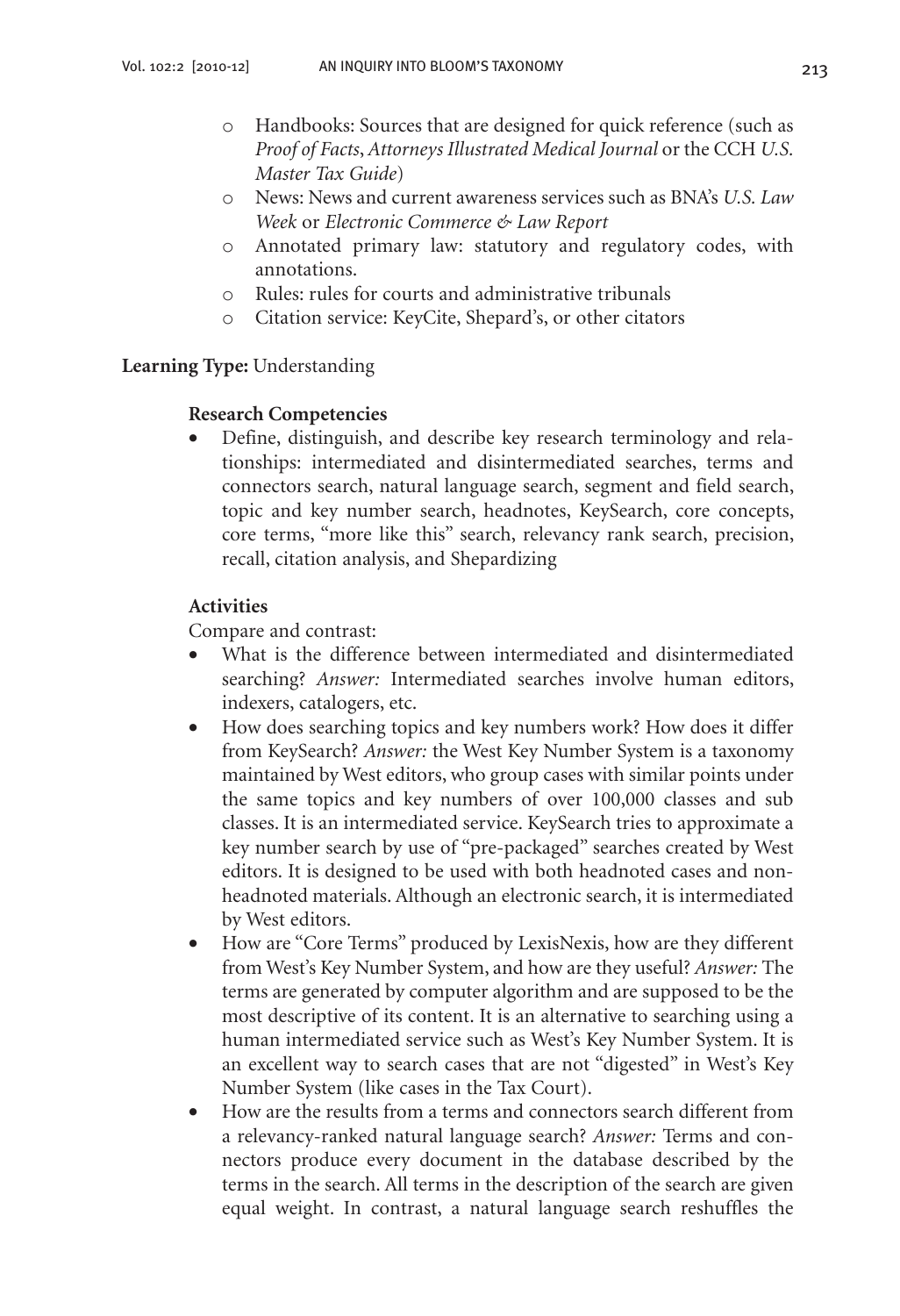- o Handbooks: Sources that are designed for quick reference (such as *Proof of Facts*, *Attorneys Illustrated Medical Journal* or the CCH *U.S. Master Tax Guide*)
- o News: News and current awareness services such as BNA's *U.S. Law Week* or *Electronic Commerce & Law Report*
- o Annotated primary law: statutory and regulatory codes, with annotations.
- o Rules: rules for courts and administrative tribunals
- o Citation service: KeyCite, Shepard's, or other citators

#### **Learning Type:** Understanding

#### **Research Competencies**

Define, distinguish, and describe key research terminology and relationships: intermediated and disintermediated searches, terms and connectors search, natural language search, segment and field search, topic and key number search, headnotes, KeySearch, core concepts, core terms, "more like this" search, relevancy rank search, precision, recall, citation analysis, and Shepardizing

#### **Activities**

Compare and contrast:

- What is the difference between intermediated and disintermediated searching? *Answer:* Intermediated searches involve human editors, indexers, catalogers, etc.
- How does searching topics and key numbers work? How does it differ from KeySearch? *Answer:* the West Key Number System is a taxonomy maintained by West editors, who group cases with similar points under the same topics and key numbers of over 100,000 classes and sub classes. It is an intermediated service. KeySearch tries to approximate a key number search by use of "pre-packaged" searches created by West editors. It is designed to be used with both headnoted cases and nonheadnoted materials. Although an electronic search, it is intermediated by West editors.
- How are "Core Terms" produced by LexisNexis, how are they different from West's Key Number System, and how are they useful? *Answer:* The terms are generated by computer algorithm and are supposed to be the most descriptive of its content. It is an alternative to searching using a human intermediated service such as West's Key Number System. It is an excellent way to search cases that are not "digested" in West's Key Number System (like cases in the Tax Court).
- How are the results from a terms and connectors search different from a relevancy-ranked natural language search? *Answer:* Terms and connectors produce every document in the database described by the terms in the search. All terms in the description of the search are given equal weight. In contrast, a natural language search reshuffles the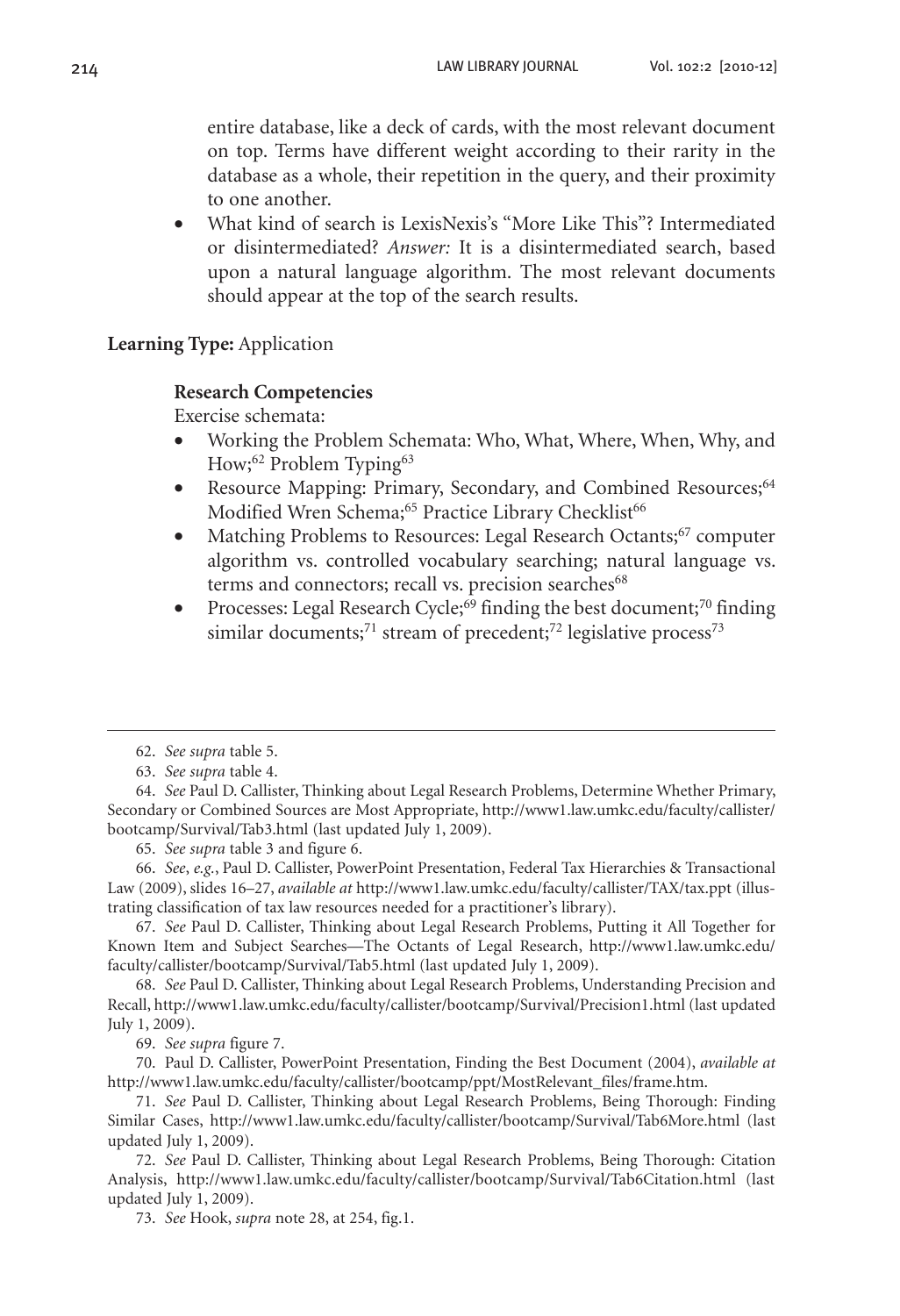entire database, like a deck of cards, with the most relevant document on top. Terms have different weight according to their rarity in the database as a whole, their repetition in the query, and their proximity to one another.

What kind of search is LexisNexis's "More Like This"? Intermediated or disintermediated? *Answer:* It is a disintermediated search, based upon a natural language algorithm. The most relevant documents should appear at the top of the search results.

**Learning Type:** Application

## **Research Competencies**

Exercise schemata:

- Working the Problem Schemata: Who, What, Where, When, Why, and How;<sup>62</sup> Problem Typing<sup>63</sup>
- Resource Mapping: Primary, Secondary, and Combined Resources;<sup>64</sup> Modified Wren Schema;<sup>65</sup> Practice Library Checklist<sup>66</sup>
- Matching Problems to Resources: Legal Research Octants;<sup>67</sup> computer algorithm vs. controlled vocabulary searching; natural language vs. terms and connectors; recall vs. precision searches<sup>68</sup>
- Processes: Legal Research Cycle;<sup>69</sup> finding the best document;<sup>70</sup> finding similar documents;<sup>71</sup> stream of precedent;<sup>72</sup> legislative process<sup>73</sup>

65. *See supra* table 3 and figure 6.

66. *See*, *e.g.*, Paul D. Callister, PowerPoint Presentation, Federal Tax Hierarchies & Transactional Law (2009), slides 16–27, *available at* http://www1.law.umkc.edu/faculty/callister/TAX/tax.ppt (illustrating classification of tax law resources needed for a practitioner's library).

67. *See* Paul D. Callister, Thinking about Legal Research Problems, Putting it All Together for Known Item and Subject Searches—The Octants of Legal Research, http://www1.law.umkc.edu/ faculty/callister/bootcamp/Survival/Tab5.html (last updated July 1, 2009).

68. *See* Paul D. Callister, Thinking about Legal Research Problems, Understanding Precision and Recall, http://www1.law.umkc.edu/faculty/callister/bootcamp/Survival/Precision1.html (last updated July 1, 2009).

69. *See supra* figure 7.

70. Paul D. Callister, PowerPoint Presentation, Finding the Best Document (2004), *available at* http://www1.law.umkc.edu/faculty/callister/bootcamp/ppt/MostRelevant\_files/frame.htm.

73. *See* Hook, *supra* note 28, at 254, fig.1.

<sup>62.</sup> *See supra* table 5.

<sup>63.</sup> *See supra* table 4.

<sup>64.</sup> *See* Paul D. Callister, Thinking about Legal Research Problems, Determine Whether Primary, Secondary or Combined Sources are Most Appropriate, http://www1.law.umkc.edu/faculty/callister/ bootcamp/Survival/Tab3.html (last updated July 1, 2009).

<sup>71.</sup> *See* Paul D. Callister, Thinking about Legal Research Problems, Being Thorough: Finding Similar Cases, http://www1.law.umkc.edu/faculty/callister/bootcamp/Survival/Tab6More.html (last updated July 1, 2009).

<sup>72.</sup> *See* Paul D. Callister, Thinking about Legal Research Problems, Being Thorough: Citation Analysis, http://www1.law.umkc.edu/faculty/callister/bootcamp/Survival/Tab6Citation.html (last updated July 1, 2009).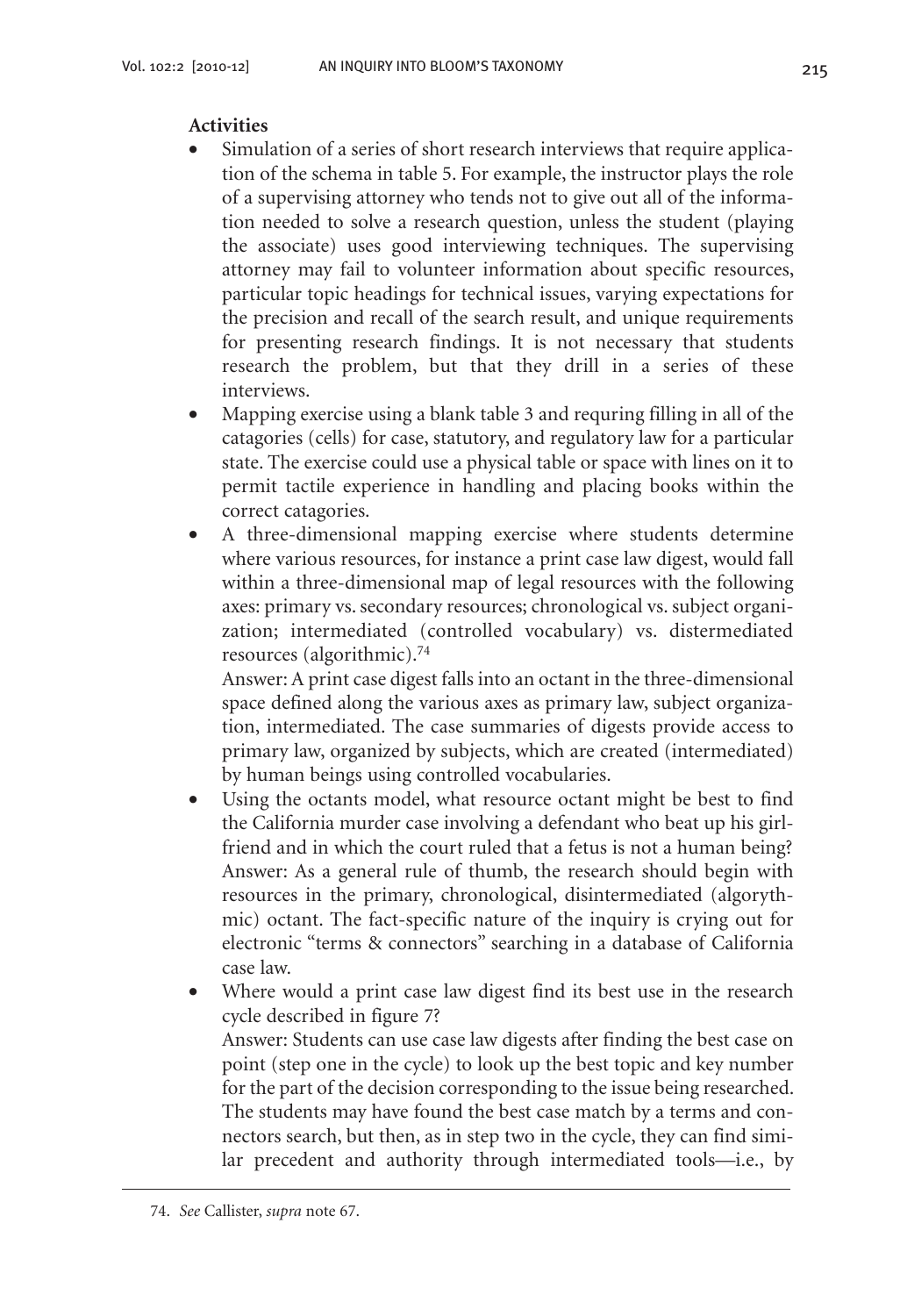## **Activities**

- Simulation of a series of short research interviews that require application of the schema in table 5. For example, the instructor plays the role of a supervising attorney who tends not to give out all of the information needed to solve a research question, unless the student (playing the associate) uses good interviewing techniques. The supervising attorney may fail to volunteer information about specific resources, particular topic headings for technical issues, varying expectations for the precision and recall of the search result, and unique requirements for presenting research findings. It is not necessary that students research the problem, but that they drill in a series of these interviews.
- Mapping exercise using a blank table 3 and requring filling in all of the catagories (cells) for case, statutory, and regulatory law for a particular state. The exercise could use a physical table or space with lines on it to permit tactile experience in handling and placing books within the correct catagories.
- A three-dimensional mapping exercise where students determine where various resources, for instance a print case law digest, would fall within a three-dimensional map of legal resources with the following axes: primary vs. secondary resources; chronological vs. subject organization; intermediated (controlled vocabulary) vs. distermediated resources (algorithmic).74

Answer: A print case digest falls into an octant in the three-dimensional space defined along the various axes as primary law, subject organization, intermediated. The case summaries of digests provide access to primary law, organized by subjects, which are created (intermediated) by human beings using controlled vocabularies.

- Using the octants model, what resource octant might be best to find the California murder case involving a defendant who beat up his girlfriend and in which the court ruled that a fetus is not a human being? Answer: As a general rule of thumb, the research should begin with resources in the primary, chronological, disintermediated (algorythmic) octant. The fact-specific nature of the inquiry is crying out for electronic "terms & connectors" searching in a database of California case law.
- Where would a print case law digest find its best use in the research cycle described in figure 7? Answer: Students can use case law digests after finding the best case on point (step one in the cycle) to look up the best topic and key number for the part of the decision corresponding to the issue being researched. The students may have found the best case match by a terms and connectors search, but then, as in step two in the cycle, they can find similar precedent and authority through intermediated tools—i.e., by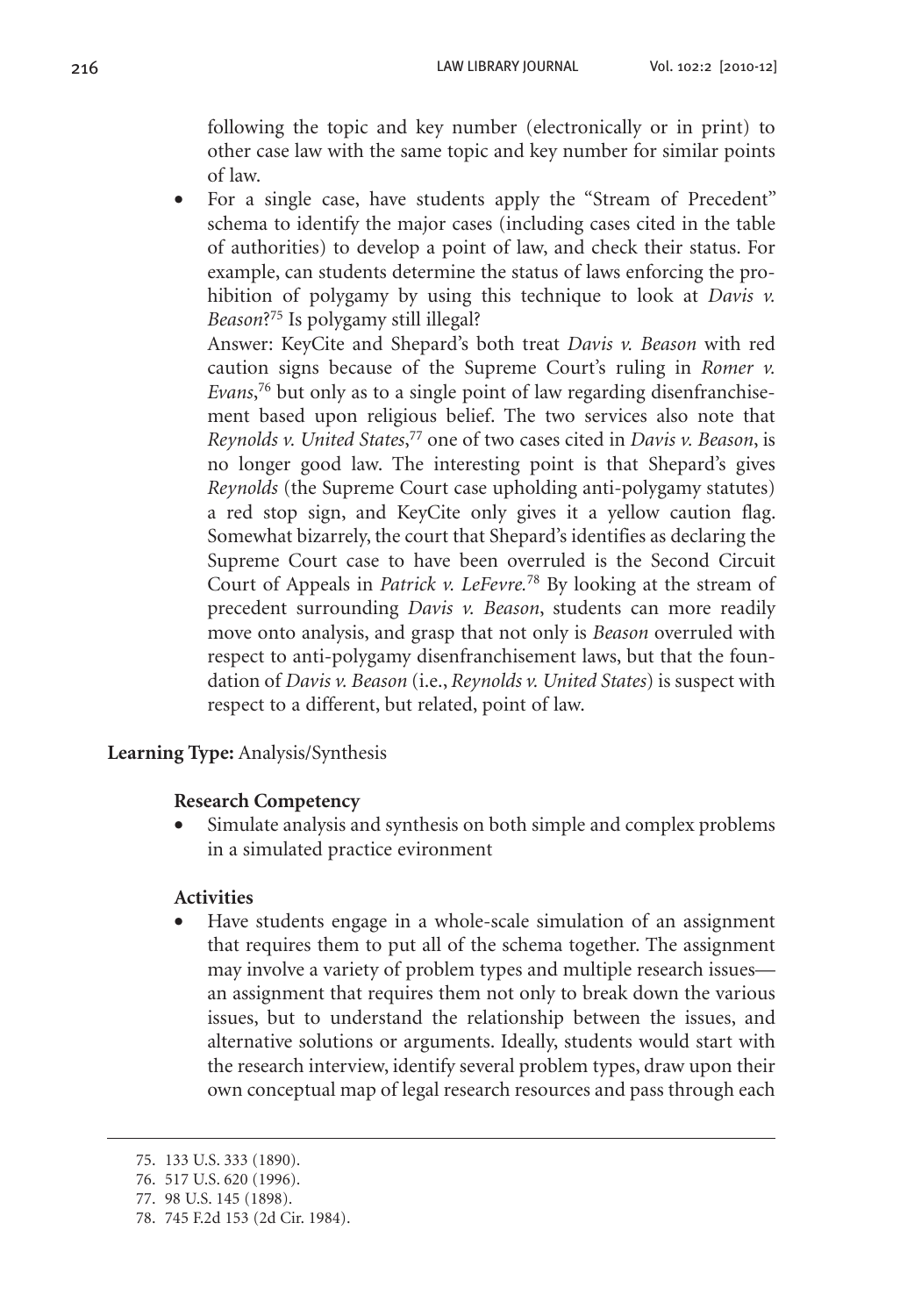following the topic and key number (electronically or in print) to other case law with the same topic and key number for similar points of law.

For a single case, have students apply the "Stream of Precedent" schema to identify the major cases (including cases cited in the table of authorities) to develop a point of law, and check their status. For example, can students determine the status of laws enforcing the prohibition of polygamy by using this technique to look at *Davis v. Beason*?75 Is polygamy still illegal?

Answer: KeyCite and Shepard's both treat *Davis v. Beason* with red caution signs because of the Supreme Court's ruling in *Romer v. Evans*, 76 but only as to a single point of law regarding disenfranchisement based upon religious belief. The two services also note that *Reynolds v. United States*, 77 one of two cases cited in *Davis v. Beason*, is no longer good law. The interesting point is that Shepard's gives *Reynolds* (the Supreme Court case upholding anti-polygamy statutes) a red stop sign, and KeyCite only gives it a yellow caution flag. Somewhat bizarrely, the court that Shepard's identifies as declaring the Supreme Court case to have been overruled is the Second Circuit Court of Appeals in *Patrick v. LeFevre.*78 By looking at the stream of precedent surrounding *Davis v. Beason*, students can more readily move onto analysis, and grasp that not only is *Beason* overruled with respect to anti-polygamy disenfranchisement laws, but that the foundation of *Davis v. Beason* (i.e., *Reynolds v. United States*) is suspect with respect to a different, but related, point of law.

**Learning Type:** Analysis/Synthesis

#### **Research Competency**

Simulate analysis and synthesis on both simple and complex problems in a simulated practice evironment

## **Activities**

Have students engage in a whole-scale simulation of an assignment that requires them to put all of the schema together. The assignment may involve a variety of problem types and multiple research issues an assignment that requires them not only to break down the various issues, but to understand the relationship between the issues, and alternative solutions or arguments. Ideally, students would start with the research interview, identify several problem types, draw upon their own conceptual map of legal research resources and pass through each

<sup>75.</sup> 133 U.S. 333 (1890).

<sup>76.</sup> 517 U.S. 620 (1996).

<sup>77.</sup> 98 U.S. 145 (1898).

<sup>78.</sup> 745 F.2d 153 (2d Cir. 1984).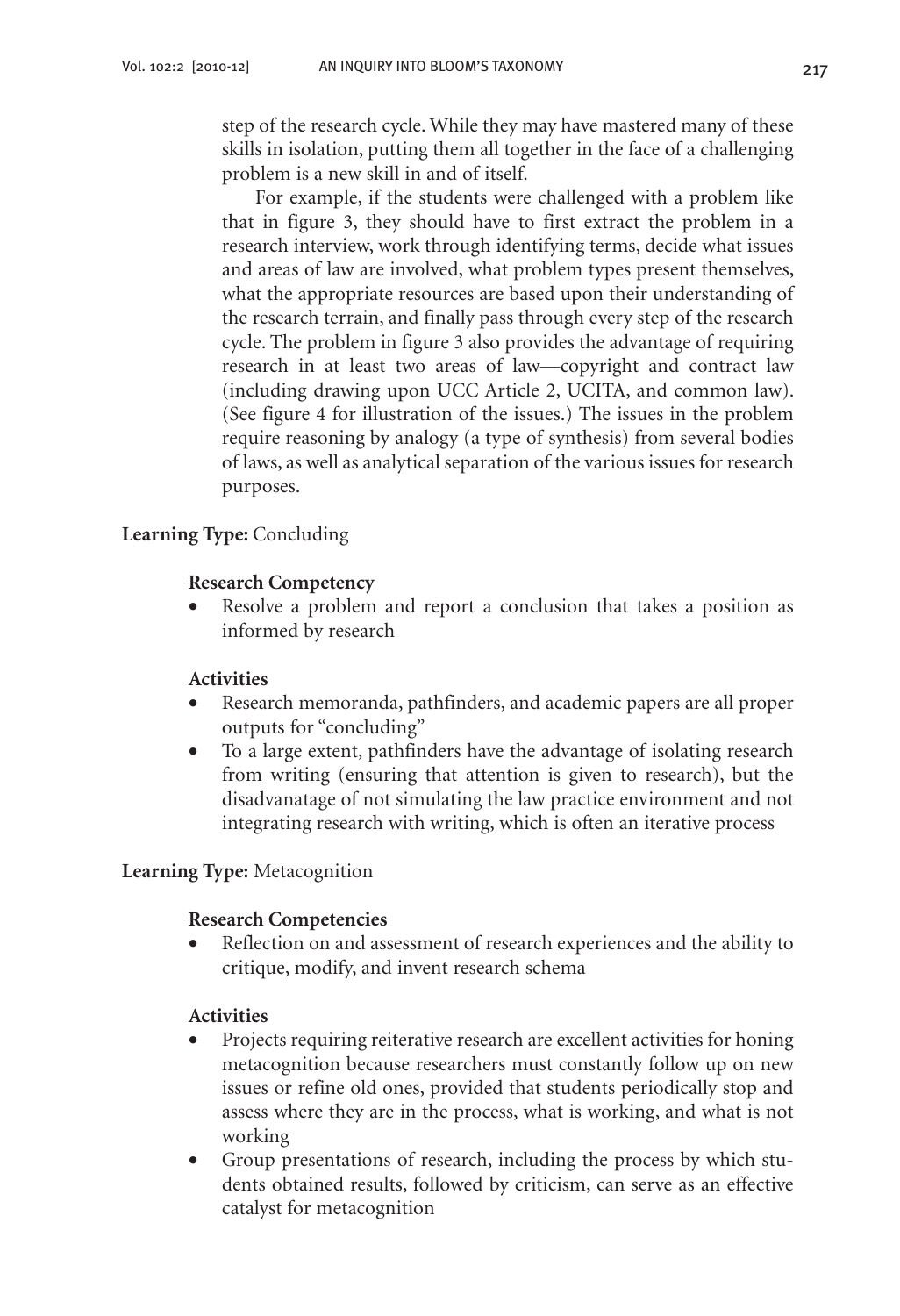step of the research cycle. While they may have mastered many of these skills in isolation, putting them all together in the face of a challenging problem is a new skill in and of itself.

For example, if the students were challenged with a problem like that in figure 3, they should have to first extract the problem in a research interview, work through identifying terms, decide what issues and areas of law are involved, what problem types present themselves, what the appropriate resources are based upon their understanding of the research terrain, and finally pass through every step of the research cycle. The problem in figure 3 also provides the advantage of requiring research in at least two areas of law—copyright and contract law (including drawing upon UCC Article 2, UCITA, and common law). (See figure 4 for illustration of the issues.) The issues in the problem require reasoning by analogy (a type of synthesis) from several bodies of laws, as well as analytical separation of the various issues for research purposes.

## **Learning Type:** Concluding

## **Research Competency**

• Resolve a problem and report a conclusion that takes a position as informed by research

## **Activities**

- Research memoranda, pathfinders, and academic papers are all proper outputs for "concluding"
- To a large extent, pathfinders have the advantage of isolating research from writing (ensuring that attention is given to research), but the disadvanatage of not simulating the law practice environment and not integrating research with writing, which is often an iterative process

## **Learning Type:** Metacognition

## **Research Competencies**

• Reflection on and assessment of research experiences and the ability to critique, modify, and invent research schema

## **Activities**

- Projects requiring reiterative research are excellent activities for honing metacognition because researchers must constantly follow up on new issues or refine old ones, provided that students periodically stop and assess where they are in the process, what is working, and what is not working
- Group presentations of research, including the process by which students obtained results, followed by criticism, can serve as an effective catalyst for metacognition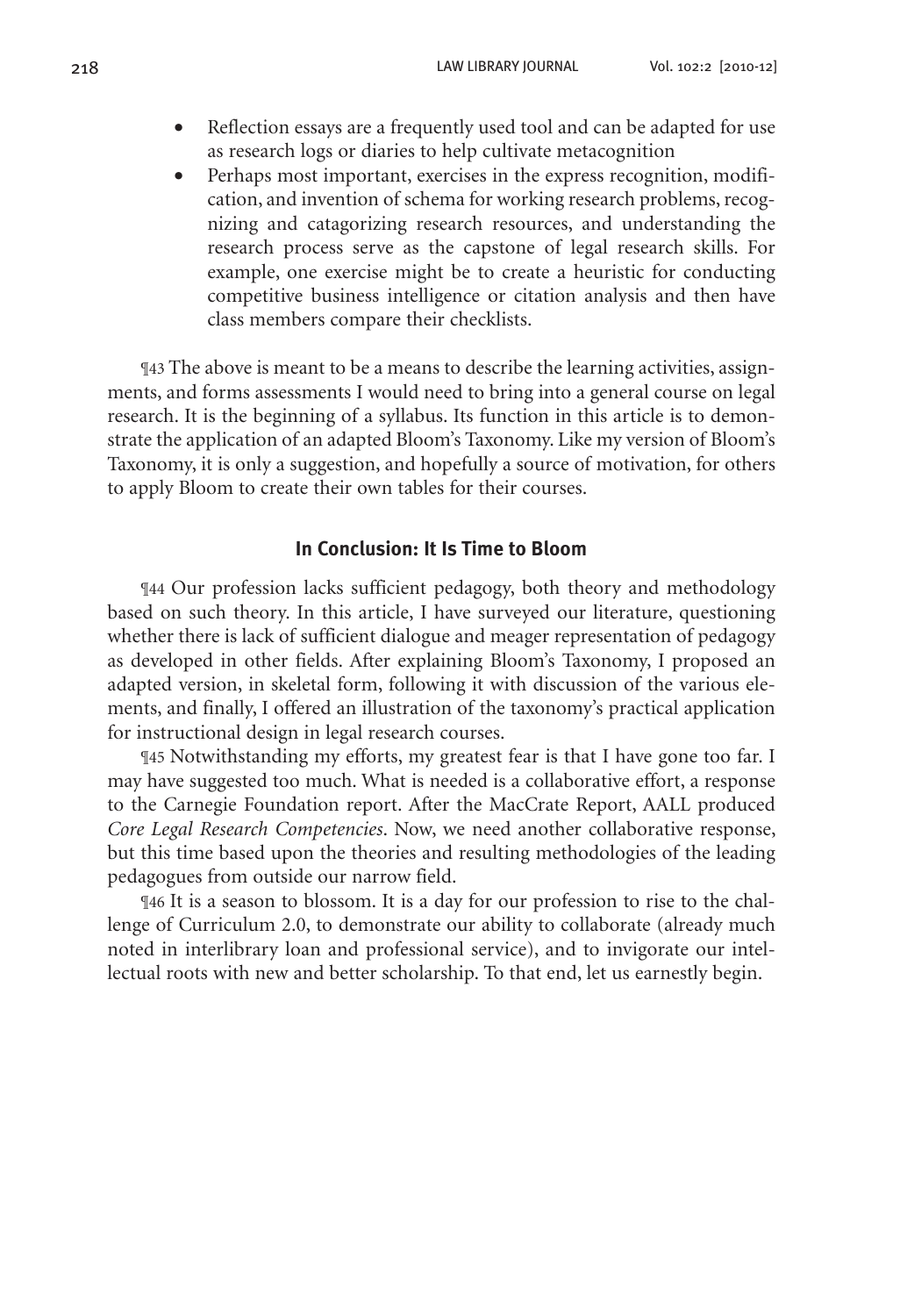- Reflection essays are a frequently used tool and can be adapted for use as research logs or diaries to help cultivate metacognition
- Perhaps most important, exercises in the express recognition, modification, and invention of schema for working research problems, recognizing and catagorizing research resources, and understanding the research process serve as the capstone of legal research skills. For example, one exercise might be to create a heuristic for conducting competitive business intelligence or citation analysis and then have class members compare their checklists.

¶43 The above is meant to be a means to describe the learning activities, assignments, and forms assessments I would need to bring into a general course on legal research. It is the beginning of a syllabus. Its function in this article is to demonstrate the application of an adapted Bloom's Taxonomy. Like my version of Bloom's Taxonomy, it is only a suggestion, and hopefully a source of motivation, for others to apply Bloom to create their own tables for their courses.

#### **In Conclusion: It Is Time to Bloom**

¶44 Our profession lacks sufficient pedagogy, both theory and methodology based on such theory. In this article, I have surveyed our literature, questioning whether there is lack of sufficient dialogue and meager representation of pedagogy as developed in other fields. After explaining Bloom's Taxonomy, I proposed an adapted version, in skeletal form, following it with discussion of the various elements, and finally, I offered an illustration of the taxonomy's practical application for instructional design in legal research courses.

¶45 Notwithstanding my efforts, my greatest fear is that I have gone too far. I may have suggested too much. What is needed is a collaborative effort, a response to the Carnegie Foundation report. After the MacCrate Report, AALL produced *Core Legal Research Competencies*. Now, we need another collaborative response, but this time based upon the theories and resulting methodologies of the leading pedagogues from outside our narrow field.

¶46 It is a season to blossom. It is a day for our profession to rise to the challenge of Curriculum 2.0, to demonstrate our ability to collaborate (already much noted in interlibrary loan and professional service), and to invigorate our intellectual roots with new and better scholarship. To that end, let us earnestly begin.